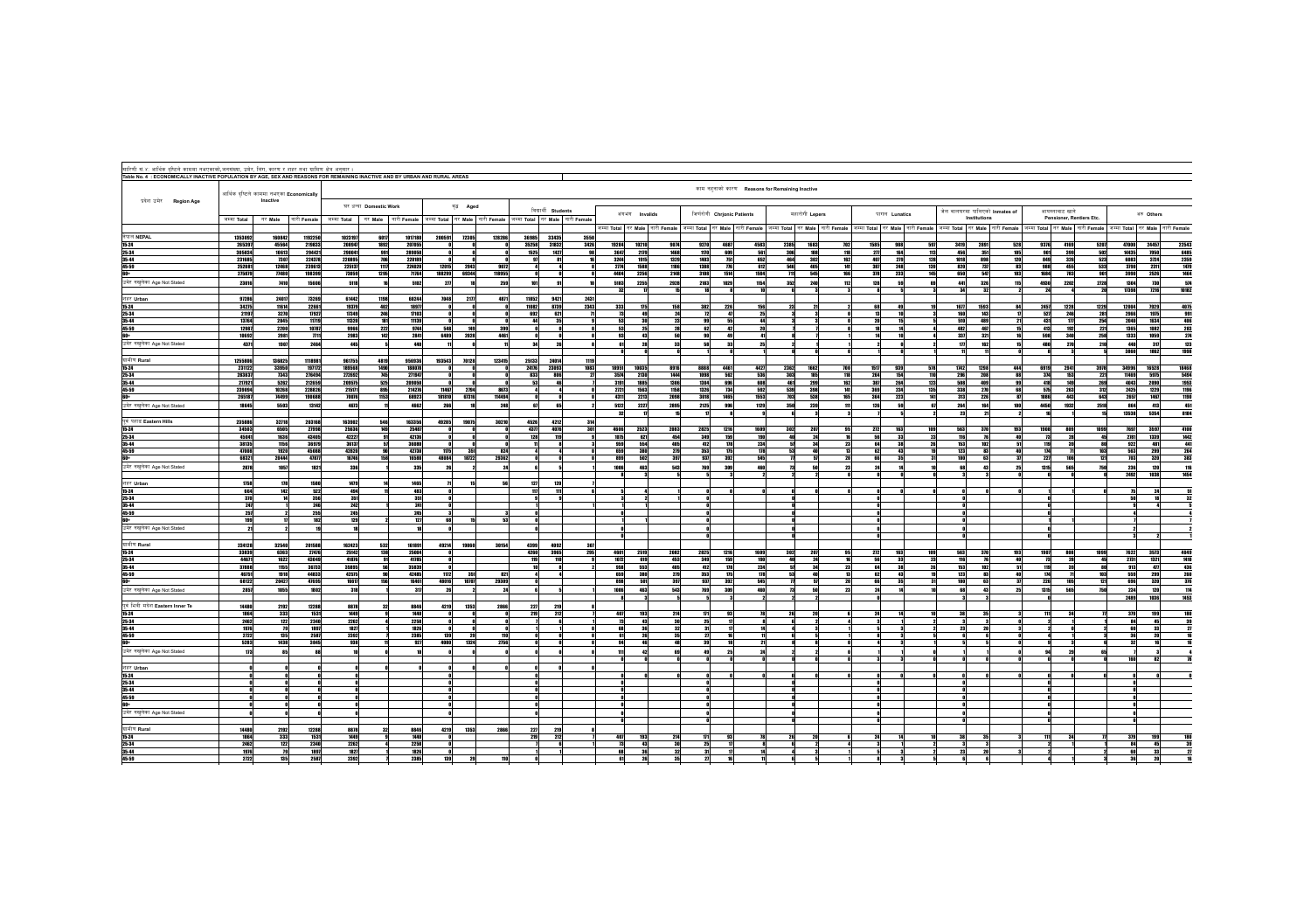| सरियी सं.४. अर्थिक दृष्टिले काममा नमएकाको,जनसंघमा, उमेर, लिय, कारण र माहर रूपा ग्रामिण क्षेत्र मनुसार ।<br>Table No. 4 : ECONOMICALLY INACTIVE POPULATION BY AGE, SEX AND REASONS FOR REMAINING INACTIVE AND BY URBAN AND RURAL |                       |                                                   |                   |                    |                       |                  |                  |                      |                                                |             |                                 |      |                         |                         |                  |                                        |                                  |                                                |                         |                   |                         |                                                                                                                                                                                                                              |                                           |                                |               |                       |                                  |                                                     |                                                        |
|---------------------------------------------------------------------------------------------------------------------------------------------------------------------------------------------------------------------------------|-----------------------|---------------------------------------------------|-------------------|--------------------|-----------------------|------------------|------------------|----------------------|------------------------------------------------|-------------|---------------------------------|------|-------------------------|-------------------------|------------------|----------------------------------------|----------------------------------|------------------------------------------------|-------------------------|-------------------|-------------------------|------------------------------------------------------------------------------------------------------------------------------------------------------------------------------------------------------------------------------|-------------------------------------------|--------------------------------|---------------|-----------------------|----------------------------------|-----------------------------------------------------|--------------------------------------------------------|
|                                                                                                                                                                                                                                 |                       |                                                   |                   |                    |                       |                  |                  |                      |                                                |             |                                 |      |                         |                         |                  |                                        |                                  |                                                |                         |                   |                         |                                                                                                                                                                                                                              |                                           |                                |               |                       |                                  |                                                     |                                                        |
|                                                                                                                                                                                                                                 |                       |                                                   |                   |                    |                       |                  |                  |                      |                                                |             |                                 |      |                         |                         |                  |                                        |                                  | काम नहनाको कारण Reasons for Remaining Inactive |                         |                   |                         |                                                                                                                                                                                                                              |                                           |                                |               |                       |                                  |                                                     |                                                        |
| प्रदेश उमेर Region Age                                                                                                                                                                                                          |                       | अधिक सुंदिले काममा नभएका Economically<br>Inactive |                   |                    |                       |                  |                  |                      |                                                |             |                                 |      |                         |                         |                  |                                        |                                  |                                                |                         |                   |                         |                                                                                                                                                                                                                              |                                           |                                |               |                       |                                  |                                                     |                                                        |
|                                                                                                                                                                                                                                 |                       |                                                   |                   |                    | NY SHET Domestic Work |                  |                  | 42 Aged              |                                                |             |                                 |      |                         |                         |                  |                                        |                                  |                                                |                         |                   |                         |                                                                                                                                                                                                                              |                                           |                                |               |                       |                                  |                                                     |                                                        |
|                                                                                                                                                                                                                                 |                       |                                                   |                   |                    |                       |                  |                  |                      |                                                |             | <b>Retro Budents</b>            |      |                         | airpire Invalida        |                  |                                        | <b>Farrich Christie Patients</b> |                                                |                         | महारोगी Lapera    |                         | <b>STRR Lunatics</b>                                                                                                                                                                                                         |                                           | जेल वालवरमा पालिएको Inmates of |               | arresponding such     |                                  |                                                     | us Others                                              |
|                                                                                                                                                                                                                                 | <b>SEET Total</b>     | <b>MY Male</b>                                    | <b>HER Female</b> | <b>STATE Total</b> | <b>HY Male</b>        |                  |                  |                      | oft Female   HTHT Total   HT Male   HTT Female |             | जम्मा Total गर Male गारी Female |      |                         |                         |                  |                                        |                                  |                                                |                         |                   |                         |                                                                                                                                                                                                                              |                                           | Institutions                   |               |                       | <b>Densinger Bentlers Fir</b>    |                                                     |                                                        |
|                                                                                                                                                                                                                                 |                       |                                                   |                   |                    |                       |                  |                  |                      |                                                |             |                                 |      |                         |                         |                  |                                        |                                  |                                                |                         |                   |                         | www.Total of Make onth Female   WWW.Total of Make   91th Female   WWW.Total   91t Make   91th Female   91th Wale   91th Female   WWW Total   91th Memile   WWW.Total   91th Memile   91th Female   91th   91th Female   91th |                                           |                                |               | <b>SERIT Total</b>    |                                  | HY Male HIF! Female SCIII Total HY Male HIF! Female |                                                        |
| <b>RTH NEPAL</b>                                                                                                                                                                                                                | 1353892               | 150842                                            | 1192250           | 1023197            | 6017                  | 1017180          | 200591           | 72385                | 128286                                         | 36985       | 33435                           | 3551 |                         |                         |                  |                                        |                                  |                                                |                         |                   |                         |                                                                                                                                                                                                                              |                                           |                                |               |                       |                                  |                                                     |                                                        |
| 15-24                                                                                                                                                                                                                           | 26539                 | 45564                                             | 219833            | 208947             | 1892                  | 287055           |                  |                      |                                                | 35358       | - 31832                         | 3425 | 19284                   | 10210                   | 9874             | 9270                                   | 4687                             | 4583                                           | 2285                    | 1583              | 702                     | 1585<br>988                                                                                                                                                                                                                  | 597<br>3419                               | 2891                           | 528           | 9276<br>4155          | 5287                             | 42000                                               | 24457                                                  |
| 25-34                                                                                                                                                                                                                           | 385834                | 10513                                             | 294421            | 290041             | 991                   | 289050           |                  |                      |                                                | 1525        | 1427                            |      | 3547                    | 201                     | 1468             | 190                                    | 689                              | 561                                            | 386                     | <b>us</b>         | 11                      | $\overline{\boldsymbol{m}}$<br>154                                                                                                                                                                                           | 112<br>456                                | 351                            | 105           | 355<br>981            | 582                              | 14415                                               | 7950                                                   |
| 35-84                                                                                                                                                                                                                           | 231680                | 7387                                              | 224378            | 220895             | 389<br>m              | 220189           |                  |                      |                                                |             | -81                             |      | 3244                    | 1915                    | 1329<br>1186     | <b>MAGE</b>                            | 761                              |                                                | 464                     | 382               | 192                     | 487<br>29                                                                                                                                                                                                                    | 109<br>128                                | ä                              | $^{72}$<br>s. | 326<br>849            | 523                              | 6083                                                | 3724                                                   |
| 45.59                                                                                                                                                                                                                           | 252081<br>225820      | 12468<br>77480                                    | 229513<br>198399  | 225/337<br>73859   | 1285                  | 224020<br>7051   | 12015            | 2943<br>188299 69344 | 9822<br>118955                                 |             |                                 |      | 27 <sup>2</sup><br>4404 | 1581<br>7766            | 718              | 1388<br>3508                           | m<br>1556                        | 617<br>1594                                    | 546<br>$\overline{m}$   | 485<br><b>SAS</b> | Ħ<br>196                | 387<br>248<br>378<br>221                                                                                                                                                                                                     | 135<br>820<br>145<br><b>ASSET</b>         | m<br>ŝ                         | 103           | 988<br>783<br>1984    | 455<br>833<br>1991               | 3790<br>3998                                        | 2211<br>2526                                           |
| ă<br>उमेर नसूलेका Age Not Stated                                                                                                                                                                                                | 23016                 | 7410                                              | 15606             | <b>Stal</b>        |                       | 5182             | $\boldsymbol{m}$ |                      | 258                                            | m           |                                 |      | 5183                    | 2255                    | 2928             | 2183                                   | 1025                             | 15                                             | 352                     | 240               | 12                      | 28<br>s                                                                                                                                                                                                                      | 60                                        | 441<br>326                     | 15            | 4938                  | 2228                             | 1384                                                | g.                                                     |
|                                                                                                                                                                                                                                 |                       |                                                   |                   |                    |                       |                  |                  |                      |                                                |             |                                 |      |                         | $\mathbf{p}$            |                  | n                                      |                                  |                                                |                         |                   |                         |                                                                                                                                                                                                                              | 24                                        | $\boldsymbol{\mathfrak{p}}$    |               | 2202                  | $^{\circ}$                       | 17258                                               | 10182<br>7216                                          |
| mr Urban                                                                                                                                                                                                                        | 97286                 |                                                   | 23268             | \$1882             | 1993                  | 60244            | 7048             | 201                  | 4871                                           | 11852       | 9421                            | 2431 |                         |                         |                  |                                        |                                  |                                                |                         |                   |                         |                                                                                                                                                                                                                              |                                           |                                |               |                       |                                  |                                                     |                                                        |
| 15-24                                                                                                                                                                                                                           | 34275                 | 24817<br>11614                                    | 22661             | 19229              | 482                   | 1897             |                  |                      |                                                | 11082       | 8339                            | 2343 | 222                     | 175                     |                  | 382                                    | 226                              |                                                |                         |                   |                         |                                                                                                                                                                                                                              | 1677                                      | 1593                           |               | 2457<br>1228          | 1229                             | 12084                                               | 7929<br>407                                            |
| 25-34                                                                                                                                                                                                                           | 21197                 | 3270                                              | 12922             | 17349              | 246                   | 17103            |                  |                      |                                                | 692         | 621                             |      |                         | 49                      |                  | $\boldsymbol{n}$                       | - al                             |                                                |                         |                   |                         | $\mathbf{B}$<br>$\bullet$                                                                                                                                                                                                    | 160                                       | 143                            |               | 527<br>246            | 281                              | 2956                                                | 1975<br>931                                            |
| 35-86                                                                                                                                                                                                                           | 12264                 | 2845                                              | 1919              | 10220              | 181                   | 1939             |                  |                      |                                                | ш           | 15                              |      |                         | $\overline{30}$         |                  | $-99$                                  | 55                               |                                                |                         |                   |                         | 20                                                                                                                                                                                                                           | S                                         | $\overline{18}$                |               | 431                   | 254<br>177                       | 2046                                                | 1634                                                   |
| 45.59                                                                                                                                                                                                                           | 12987                 | 2208                                              | 10387             | 9966               | 222                   | 9744             | Sep              | 149                  | 395                                            |             |                                 |      |                         | 25                      |                  | 62                                     | 42                               |                                                |                         |                   |                         | $\ddot{\phantom{a}}$                                                                                                                                                                                                         | 482                                       | 467                            |               | m                     | 192<br>$\boldsymbol{\mathit{m}}$ | 1365                                                | $\frac{48}{28}$<br>1082                                |
|                                                                                                                                                                                                                                 | 10692                 | 2981                                              | $\boldsymbol{m}$  | 2983               | 187                   | 2841             | 6489             | 2028                 | 4461                                           |             |                                 |      |                         | $\overline{a}$          |                  | 90I                                    | 44                               |                                                |                         |                   |                         |                                                                                                                                                                                                                              | 337                                       | 321                            |               | sas                   | 348<br>258                       | 1333                                                | 105                                                    |
| 88+<br>उमेर नसुलेका Age Not Stated                                                                                                                                                                                              | 437                   | 1987                                              | 246               | 445                |                       | 44               |                  |                      |                                                |             |                                 |      |                         |                         |                  | se                                     | $\overline{1}$                   |                                                |                         |                   |                         |                                                                                                                                                                                                                              |                                           | œ                              |               | $\overline{a}$        | $\overline{2}$                   | $\overline{u}$                                      |                                                        |
|                                                                                                                                                                                                                                 |                       |                                                   |                   |                    |                       |                  |                  |                      |                                                |             |                                 |      |                         |                         |                  |                                        |                                  |                                                |                         |                   |                         |                                                                                                                                                                                                                              |                                           |                                |               |                       |                                  | 3850                                                | 1862<br>1998                                           |
| पासीण Rural                                                                                                                                                                                                                     | 125580                | 136825                                            | 119381            | 961755             | 4819                  | 956936           | 193543           | 70128                | 123415                                         | 25133       | 24014                           | 119  |                         |                         |                  |                                        |                                  |                                                |                         |                   |                         |                                                                                                                                                                                                                              |                                           |                                |               |                       |                                  |                                                     |                                                        |
| 15-24<br>25-34                                                                                                                                                                                                                  | 231122                | 33550                                             | 197172            | 189568             | 1498                  | 188078           |                  |                      |                                                | 24176 23893 |                                 | 1083 | 18950                   | 10035                   | 8916             | 8888                                   | 4461                             | 4427                                           | 2392                    | 1562              | 700                     | 50 <sup>1</sup><br>939                                                                                                                                                                                                       | 1742<br>538                               | 1298                           | 444           | 6919<br>2941          | 3978                             | 34995                                               | 15528                                                  |
|                                                                                                                                                                                                                                 | 28383                 | 7343                                              | 276494            | 272692             | 385                   | 271947           |                  |                      |                                                | 833         | š                               |      | 35M                     | 2138                    | 1444             | 1998                                   | 562                              | 536                                            | 383                     | 185               | 11                      | 264<br>154                                                                                                                                                                                                                   | 286<br>m                                  | 288                            |               | $\mathbf{m}$          | 153<br>$\boldsymbol{m}$          | 11469                                               | 5975                                                   |
|                                                                                                                                                                                                                                 | 2092<br>23509         | 5262<br>10268                                     | 212659<br>228826  | 205575<br>215171   | 525<br>895            | 209050<br>214276 | 15867            | 2204                 | 9675                                           | ss          |                                 |      | 3191<br>$\overline{m}$  | 1885<br>1561            | 1386<br>1150     | B <sub>H</sub><br>1326                 | 696<br>734                       | 592                                            | 461<br>539              | 295<br>398        | 182<br>ä                | 387<br>264<br>359<br>234                                                                                                                                                                                                     | 122<br>508<br>135<br>338                  | 489<br>201                     | 68            | 55<br>263             | 269<br>312                       | 4843<br>2425                                        | 18468<br>-- 5494<br>-- 1953<br>-- 1956<br>2090<br>1229 |
| 15 44<br>6 59<br>60 -                                                                                                                                                                                                           | 265187                | 74499                                             | 190588            | 70076              | 1153                  | 68923            | 181810           | 67316                | 114494                                         |             |                                 |      | 431                     | $\overline{m}$          | 2098             | 3818                                   | 1855                             | 1553                                           | $\overline{\mathbf{m}}$ | 538               | 165                     | 384<br>$\overline{221}$                                                                                                                                                                                                      | Ė<br>353                                  | 226                            |               | 1088                  | 40<br>643                        | 2657                                                | 1190<br>1467                                           |
| उमेर नसुलेका Age Not Stated                                                                                                                                                                                                     | 18645                 | 5503                                              | 13142             | 4673               |                       | 4692             | 268              |                      | 20                                             |             | ss.                             |      | 502                     | 2221                    | 2895             | 205                                    | 996                              | 105                                            | 350                     | 325               | $\mathbf{m}$            | 26<br>×                                                                                                                                                                                                                      | 264                                       | 154                            | m             | 4450<br>1932          | 2518                             | 88                                                  | 4,5                                                    |
|                                                                                                                                                                                                                                 |                       |                                                   |                   |                    |                       |                  |                  |                      |                                                |             |                                 |      |                         | $\mathbf{p}$            |                  | $\mathbf{a}$                           |                                  |                                                |                         |                   |                         |                                                                                                                                                                                                                              | $\sim$                                    |                                |               |                       |                                  | 13538                                               | 8184<br>5354                                           |
| TH TETE Eastern Hills                                                                                                                                                                                                           | 235886                | 32718                                             | 203168            | 163502             |                       | 163356           | 49285            | 19075                | 30210                                          | 4526        | 4212                            |      |                         |                         |                  |                                        |                                  |                                                |                         |                   |                         |                                                                                                                                                                                                                              |                                           |                                |               |                       |                                  |                                                     |                                                        |
|                                                                                                                                                                                                                                 | 34503                 | 6565                                              | 27958             | 25636              |                       | 25487            |                  |                      |                                                | 437         | 4875                            | 301  | 4606                    | 2523                    | 2083             | 2825                                   | 1215                             | 1505                                           | 382                     | 287               | 95                      | 272<br>163                                                                                                                                                                                                                   | 563<br>101                                | 338                            | 193           | 1988<br>889           | 1099                             | 7697                                                | 3597                                                   |
| 15-24<br>25-34                                                                                                                                                                                                                  | 4504                  | 1636                                              | 43465             | m                  |                       | 42036            |                  |                      |                                                | 128         | 119                             |      | 117                     | 621                     | 454              | 349                                    | 156                              | 190                                            | <b>ABL</b>              | 24                | 19                      | 58<br>31                                                                                                                                                                                                                     | 22<br>199                                 |                                |               |                       | 28<br>- 45                       | 2281                                                | 490<br>142<br>441<br>1339                              |
|                                                                                                                                                                                                                                 | 38135                 | 1156                                              | 3897              | 36137              |                       | 35.000           |                  |                      |                                                |             |                                 |      | 955                     | \$54                    | $\overline{100}$ | 40 <sup>2</sup>                        | $\overline{18}$                  | 234                                            |                         |                   | 23                      | $\overline{u}$<br>$\overline{\phantom{a}}$                                                                                                                                                                                   | $\overline{\mathbf{m}}$                   | 182                            |               |                       |                                  | $\overline{\mathbf{z}}$                             | <b>AR</b>                                              |
|                                                                                                                                                                                                                                 | 47088                 | 1920                                              | 45188             | 42820              |                       | 42730            | 1176<br>48084    | 351                  |                                                |             |                                 |      | 658                     | 388                     | 278              | 353                                    | $\overline{125}$                 | $\mathbf{a}$                                   | sal                     | <b>AO</b>         | $\overline{u}$          | 62<br>ь<br>$\overline{\mathbf{x}}$                                                                                                                                                                                           | m                                         | -89                            |               | 109                   | 103                              | 563<br>$\overline{\mathbf{m}}$                      | 36<br>383<br>29                                        |
| ****<br>15:50<br>18+<br>34+ regiser Age Not Stated                                                                                                                                                                              | 68321                 | 20444                                             | 42877             | 16346              |                       | 16588            |                  | 802                  | <b>29380</b>                                   |             |                                 |      | 39                      | 582                     | 267              | 937                                    | 392                              |                                                |                         |                   | $\overline{\mathbf{z}}$ |                                                                                                                                                                                                                              |                                           |                                |               | $\boldsymbol{\gamma}$ | T1                               |                                                     | 200                                                    |
|                                                                                                                                                                                                                                 | 2876                  | 1057                                              | 1821              | 336                |                       | 335              |                  |                      |                                                |             |                                 |      | 101                     | 463                     |                  | $\mathbf{v}$                           | 389                              |                                                |                         |                   |                         |                                                                                                                                                                                                                              |                                           |                                |               | 565<br>1315           |                                  | $\overline{2}$<br>2452                              | 1038                                                   |
| mr Urban                                                                                                                                                                                                                        | 1758                  | $\mathbf{a}$                                      | 1580              | 1479               |                       | 1857             |                  |                      |                                                | $\ddot{m}$  | 120                             |      |                         |                         |                  |                                        |                                  |                                                |                         |                   |                         |                                                                                                                                                                                                                              |                                           |                                |               |                       |                                  |                                                     |                                                        |
|                                                                                                                                                                                                                                 | 664                   | 342                                               | 522               | 494                |                       | 483              |                  |                      |                                                | $+0$        | $\mathbf{u}$                    |      |                         |                         |                  |                                        |                                  |                                                |                         |                   |                         |                                                                                                                                                                                                                              |                                           |                                |               |                       |                                  |                                                     |                                                        |
| 15-24<br>25-34                                                                                                                                                                                                                  | 320                   |                                                   | 356               | 351                |                       | 351              |                  |                      |                                                |             |                                 |      |                         |                         |                  |                                        |                                  |                                                |                         |                   |                         |                                                                                                                                                                                                                              |                                           |                                |               |                       |                                  |                                                     |                                                        |
|                                                                                                                                                                                                                                 | 25                    |                                                   | 246               | 382                |                       | 241              |                  |                      |                                                |             |                                 |      |                         |                         |                  |                                        |                                  |                                                |                         |                   |                         |                                                                                                                                                                                                                              |                                           |                                |               |                       |                                  |                                                     |                                                        |
| 1544<br>4559                                                                                                                                                                                                                    | 253                   |                                                   | 255               | 245                |                       | 245              |                  |                      |                                                |             |                                 |      |                         |                         |                  |                                        |                                  |                                                |                         |                   |                         |                                                                                                                                                                                                                              |                                           |                                |               |                       |                                  |                                                     |                                                        |
| 68+                                                                                                                                                                                                                             | 199                   |                                                   | 182               | 129                |                       | $\mathbf{m}$     |                  |                      |                                                |             |                                 |      |                         |                         |                  |                                        |                                  |                                                |                         |                   |                         |                                                                                                                                                                                                                              |                                           |                                |               |                       |                                  |                                                     |                                                        |
| उमेर नसलेका Ape Not Stated                                                                                                                                                                                                      |                       |                                                   |                   | $\mathbf{R}$       |                       | 4                |                  |                      |                                                |             |                                 |      |                         |                         |                  |                                        |                                  |                                                |                         |                   |                         |                                                                                                                                                                                                                              |                                           |                                |               |                       |                                  |                                                     |                                                        |
|                                                                                                                                                                                                                                 |                       |                                                   |                   |                    |                       |                  |                  |                      |                                                |             |                                 |      |                         |                         |                  |                                        |                                  |                                                |                         |                   |                         |                                                                                                                                                                                                                              |                                           |                                |               |                       |                                  |                                                     |                                                        |
|                                                                                                                                                                                                                                 | 22412                 | 32540                                             | 201588            | 162423             | 532                   | 161891           | 49214            | 19860                | 30154                                          | 4399        | 4032                            |      |                         |                         |                  |                                        |                                  |                                                |                         |                   |                         |                                                                                                                                                                                                                              |                                           |                                |               |                       |                                  |                                                     |                                                        |
| ग्रामीण Roral<br>15-24<br>25-34                                                                                                                                                                                                 | 33839<br>4467         | 6363                                              | 770<br>43849      | 25182              | 138                   | <b>250M</b>      |                  |                      |                                                | 4260<br>119 | 3965                            | 785  | 4601                    | 2509                    | 2882<br>453      | 2825<br>349                            | 1715                             | 1505<br>$\overline{\mathbf{z}}$                | 302<br>$\overline{a}$   | - 287             | 95<br>Ŧ                 | 272<br>163                                                                                                                                                                                                                   | 563<br>105<br>$\overline{\boldsymbol{n}}$ | 330                            | 193           | 1987<br>888           | 1869                             | 7633                                                | 3572<br>4049                                           |
|                                                                                                                                                                                                                                 | 37888                 | 1622<br>1155                                      | 36733             | 41876<br>35895     |                       | 41785<br>35,839  |                  |                      |                                                |             | 110                             |      | 1072<br>958             | 619<br>551              | 485              | 412                                    | 159<br>78                        | 234                                            | $\sim$                  |                   | $\overline{\mathbf{a}}$ | S6<br>$\overline{\mathbf{31}}$<br>g,<br>38                                                                                                                                                                                   | - est                                     | 182                            |               |                       | 28<br>$\sim$                     | 2731<br>913                                         | 10<br>1327<br>436<br>$\boldsymbol{m}$                  |
| $\frac{154}{55}$                                                                                                                                                                                                                | 46751                 | 1918                                              | 44833             | 42575              |                       | 42485            | 1972             | 39                   |                                                |             |                                 |      | 658                     | 381                     |                  | 353                                    | $\overline{125}$                 |                                                |                         |                   |                         | $\overline{M}$<br>$\overline{p}$                                                                                                                                                                                             | $\overline{m}$                            |                                |               |                       |                                  | 554                                                 |                                                        |
|                                                                                                                                                                                                                                 | 68122                 | 20427                                             | 43555             | 16617              |                       | 16461            | 48806            | 18707                | 28305                                          |             |                                 |      |                         | S01                     |                  | 937                                    | 392                              |                                                |                         |                   |                         |                                                                                                                                                                                                                              |                                           |                                |               | $\boldsymbol{\eta}$   | $\mathbf{r}$                     | 696                                                 | $\boldsymbol{\mathcal{D}}$                             |
| उमेर नसूलेका Age Not Stated                                                                                                                                                                                                     | 2853                  | 1055                                              | 1982              | 21R                |                       | 30 <sup>1</sup>  |                  |                      |                                                |             |                                 |      | 1004                    | ass:                    | <b>SHS</b>       | <b>BRA</b>                             | 389                              |                                                |                         |                   | $\overline{1}$          |                                                                                                                                                                                                                              |                                           |                                |               | sas                   | ses<br><b>you</b>                | 224                                                 | 720                                                    |
|                                                                                                                                                                                                                                 |                       |                                                   |                   |                    |                       |                  |                  |                      |                                                |             |                                 |      |                         |                         |                  |                                        |                                  |                                                |                         |                   |                         |                                                                                                                                                                                                                              |                                           |                                |               |                       |                                  | 2489                                                | 908                                                    |
| पर्ने चिनी मंदेश Eastern Inner Te                                                                                                                                                                                               | 14480                 | 2192                                              | 12288             | 8878               |                       | 8846             | 4219             | 1353                 | 2855                                           | 227         | 213                             |      |                         |                         |                  |                                        |                                  |                                                |                         |                   |                         |                                                                                                                                                                                                                              |                                           |                                |               |                       |                                  |                                                     |                                                        |
| 15-24                                                                                                                                                                                                                           | 105.0                 | 333                                               | 1531              | 1449               |                       | 1449             |                  |                      |                                                | 219         | 312                             |      | 482                     | sta.                    |                  | $\overline{m}$                         |                                  |                                                |                         |                   |                         |                                                                                                                                                                                                                              |                                           |                                |               |                       |                                  | 978                                                 |                                                        |
| 3534<br>35 M<br>5 50                                                                                                                                                                                                            | 2462                  | $\overline{m}$                                    | 2240              | 2282               |                       | 2258             |                  |                      |                                                |             |                                 |      |                         | $\overline{a}$          |                  | 25                                     |                                  |                                                |                         |                   |                         |                                                                                                                                                                                                                              |                                           |                                |               |                       |                                  |                                                     |                                                        |
|                                                                                                                                                                                                                                 | 112<br>$\overline{m}$ | ď<br>135                                          | 1892<br>2587      | 1827<br>2392       |                       | 1826<br>2385     | 120              |                      |                                                |             |                                 |      |                         | 36<br>26                |                  | $\overline{31}$<br>$\boldsymbol{\eta}$ |                                  |                                                |                         |                   |                         |                                                                                                                                                                                                                              |                                           |                                |               |                       |                                  |                                                     |                                                        |
| se-                                                                                                                                                                                                                             | 5283                  | 1438                                              | 184               | 938                |                       | $\mathbf{m}$     | 4880             | 1224                 | 2756                                           |             |                                 |      |                         | $\overline{\mathbf{a}}$ |                  | 20                                     |                                  |                                                |                         |                   |                         |                                                                                                                                                                                                                              |                                           |                                |               |                       |                                  |                                                     |                                                        |
| उमेर नसूलेका Age Not Stated                                                                                                                                                                                                     | $\mathbf{r}$          | 85                                                |                   |                    |                       | $\bullet$        |                  |                      |                                                |             |                                 |      |                         | $\boldsymbol{v}$        |                  | $\overline{a}$                         | 25                               |                                                |                         |                   |                         |                                                                                                                                                                                                                              |                                           |                                |               |                       |                                  |                                                     |                                                        |
|                                                                                                                                                                                                                                 |                       |                                                   |                   |                    |                       |                  |                  |                      |                                                |             |                                 |      |                         |                         |                  |                                        |                                  |                                                |                         |                   |                         |                                                                                                                                                                                                                              |                                           |                                |               |                       |                                  |                                                     |                                                        |
|                                                                                                                                                                                                                                 |                       |                                                   |                   |                    |                       |                  |                  |                      |                                                |             |                                 |      |                         |                         |                  |                                        |                                  |                                                |                         |                   |                         |                                                                                                                                                                                                                              |                                           |                                |               |                       |                                  |                                                     |                                                        |
| ner Urban<br>15-24                                                                                                                                                                                                              |                       |                                                   |                   |                    |                       |                  |                  |                      |                                                |             |                                 |      |                         |                         |                  |                                        |                                  |                                                |                         |                   |                         |                                                                                                                                                                                                                              |                                           |                                |               |                       |                                  |                                                     |                                                        |
| 25-34                                                                                                                                                                                                                           |                       |                                                   |                   |                    |                       |                  |                  |                      |                                                |             |                                 |      |                         |                         |                  |                                        |                                  |                                                |                         |                   |                         |                                                                                                                                                                                                                              |                                           |                                |               |                       |                                  |                                                     |                                                        |
|                                                                                                                                                                                                                                 |                       |                                                   |                   |                    |                       |                  |                  |                      |                                                |             |                                 |      |                         |                         |                  |                                        |                                  |                                                |                         |                   |                         |                                                                                                                                                                                                                              |                                           |                                |               |                       |                                  |                                                     |                                                        |
|                                                                                                                                                                                                                                 |                       |                                                   |                   |                    |                       |                  |                  |                      |                                                |             |                                 |      |                         |                         |                  |                                        |                                  |                                                |                         |                   |                         |                                                                                                                                                                                                                              |                                           |                                |               |                       |                                  |                                                     |                                                        |
| ***<br>1541<br>18+<br>31'r regiset Age Not Stated                                                                                                                                                                               |                       |                                                   |                   |                    |                       |                  |                  |                      |                                                |             |                                 |      |                         |                         |                  |                                        |                                  |                                                |                         |                   |                         |                                                                                                                                                                                                                              |                                           |                                |               |                       |                                  |                                                     |                                                        |
|                                                                                                                                                                                                                                 |                       |                                                   |                   |                    |                       |                  |                  |                      |                                                |             |                                 |      |                         |                         |                  |                                        |                                  |                                                |                         |                   |                         |                                                                                                                                                                                                                              |                                           |                                |               |                       |                                  |                                                     |                                                        |
|                                                                                                                                                                                                                                 |                       |                                                   |                   |                    |                       |                  |                  |                      |                                                |             |                                 |      |                         |                         |                  |                                        |                                  |                                                |                         |                   |                         |                                                                                                                                                                                                                              |                                           |                                |               |                       |                                  |                                                     |                                                        |
| पार्माण Rural                                                                                                                                                                                                                   | 14480                 | 2222                                              | 12288             | 8878               |                       | 8846             | 4219             | 1353                 | 2851                                           | 221         | 213<br>712                      |      |                         |                         |                  |                                        |                                  |                                                |                         |                   |                         |                                                                                                                                                                                                                              |                                           |                                |               |                       |                                  |                                                     |                                                        |
| 15 M<br>15 M<br>15 M<br>15 M                                                                                                                                                                                                    | 1864<br>2462          | 333<br>$\boldsymbol{m}$                           | 1531<br>2240      | 1449               |                       | 1440<br>2258     |                  |                      |                                                | 219         |                                 |      |                         | 193<br>$\overline{a}$   |                  |                                        |                                  |                                                |                         |                   |                         |                                                                                                                                                                                                                              |                                           |                                |               |                       |                                  |                                                     |                                                        |
|                                                                                                                                                                                                                                 | 1826                  | $\rightarrow$                                     | 1897              | 2282<br>1827       |                       | 1826             |                  |                      |                                                |             |                                 |      |                         | 36                      |                  |                                        |                                  |                                                |                         |                   |                         |                                                                                                                                                                                                                              |                                           |                                |               |                       |                                  |                                                     |                                                        |
|                                                                                                                                                                                                                                 | m                     | 135                                               | 2587              | 2392               |                       | 2385             | 139              |                      |                                                |             |                                 |      |                         | 26                      | $^{46}$          | $\overline{\mathbf{v}}$                |                                  |                                                |                         |                   |                         |                                                                                                                                                                                                                              |                                           |                                |               |                       |                                  |                                                     |                                                        |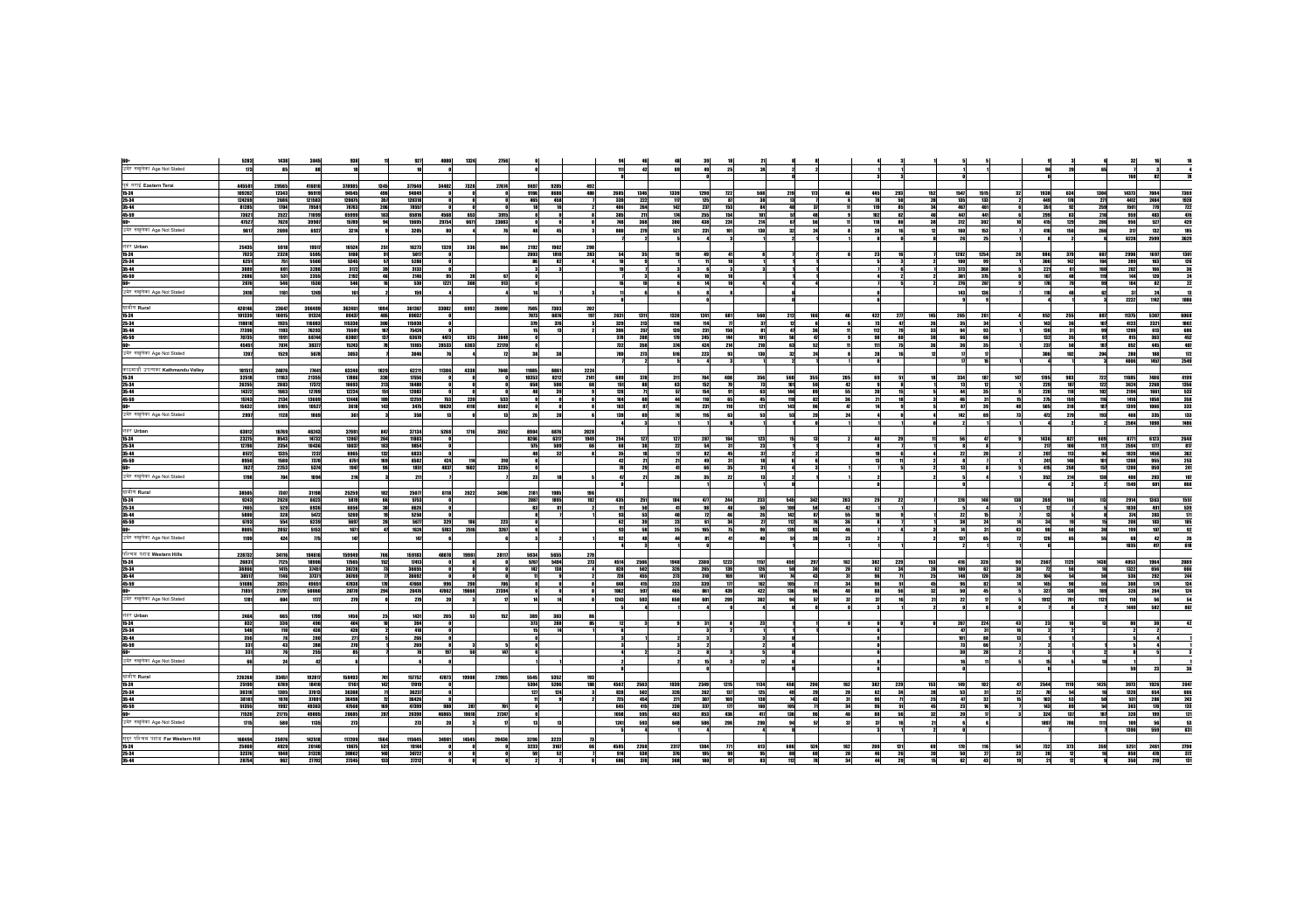|                                                   | 5283                    | 1438            | 3845                    | 938            |                 | 927                     | 4800<br>1224        |       |       |                |              |                          |                         |                             |                  |                           |                           |                 |                 |                       |                        |              |                       |                          |                 |                 |                                 |                             |
|---------------------------------------------------|-------------------------|-----------------|-------------------------|----------------|-----------------|-------------------------|---------------------|-------|-------|----------------|--------------|--------------------------|-------------------------|-----------------------------|------------------|---------------------------|---------------------------|-----------------|-----------------|-----------------------|------------------------|--------------|-----------------------|--------------------------|-----------------|-----------------|---------------------------------|-----------------------------|
| 88+<br>उमेर नसूलेका Age Not Stated                | $\mathbf{p}$            | 85              | $\overline{\mathbf{a}}$ | $\overline{ }$ |                 | $\overline{\mathbf{r}}$ |                     |       |       |                |              | $\blacksquare$           | $\bullet$               | <b>GS</b>                   | $\overline{a}$   |                           |                           |                 |                 |                       |                        |              |                       |                          |                 |                 |                                 |                             |
|                                                   |                         |                 |                         |                |                 |                         |                     |       |       |                |              |                          |                         |                             |                  |                           |                           |                 |                 |                       |                        |              |                       |                          |                 |                 |                                 |                             |
|                                                   |                         |                 |                         |                |                 |                         |                     |       |       |                |              |                          |                         |                             |                  |                           |                           |                 |                 |                       |                        |              |                       |                          |                 |                 |                                 |                             |
| și zrif Eastern Teral<br>15:34<br>25:34           | 445581                  | 29565           | 416016                  | 378985         | 1345            | 377648                  | 34402<br>7228       | 27874 | 9697  | 9205           | 492          |                          |                         |                             |                  |                           |                           |                 |                 |                       |                        |              |                       |                          |                 |                 |                                 |                             |
|                                                   | 109262                  | 12343           | 99919                   | 94545          | 496             | 9404                    |                     |       | 9156  | 8686           | 480          | 2685                     | 1346                    | 1339                        | 1298             | 722                       | 568<br>219                |                 |                 | 445<br>250            | 152                    | 1515<br>1547 |                       | 1938                     | 634             | 1384            | 14372<br>700                    | 7269                        |
|                                                   | 124269                  | 2586            | 121583                  | 120675         | 357             | 120318                  |                     |       | 465   | 451            |              | 339                      | $\boldsymbol{m}$        | 10 <sup>1</sup>             | 125              |                           |                           |                 |                 | $\sim$                | 28                     | 135          | 133                   | 449                      | 188             | 221             | 4412<br>2484                    | 1928                        |
| 35-44                                             | 81285                   | 1204            | 79581                   | 78263          | 286             | 78557                   |                     |       |       |                |              | 486                      | 264                     | 142                         | 230              | es e                      |                           |                 |                 |                       |                        | 467<br>461   |                       | 351                      | $\bullet$       | 259             | 1501                            | $\overline{\boldsymbol{n}}$ |
|                                                   | 73621                   | 2522            | 71059                   | 65699          | 183             | 65816                   | 4568                | 3915  |       |                |              | 385                      | 2 <sub>m</sub>          | 174                         | 255              | 154                       |                           |                 |                 |                       |                        | 443          | 441                   | 299                      |                 | 215             | 959                             |                             |
| 83<br>-                                           | 47527                   | 7620            | 39987                   | 15789          | É               | 15695                   | 29754<br>6671       | 23883 |       |                |              | 748                      | 368                     | 380                         | 438              | 224                       |                           |                 |                 |                       |                        | 302<br>312   |                       | 415                      | $\overline{29}$ | 286             | 956                             | 429                         |
| उमेर नसुलेका Age Not Stated                       |                         |                 |                         |                |                 |                         |                     |       |       |                |              |                          |                         |                             |                  |                           |                           |                 |                 |                       |                        | se           |                       |                          | sa.             |                 |                                 |                             |
|                                                   | 9517                    | 2650            | 6927                    | 3214           |                 | 3205                    |                     |       |       |                |              | 888                      | 229                     | 521                         | 231              | 181                       | 130<br>$\overline{12}$    |                 |                 |                       |                        |              | 153                   | 415                      |                 | 266             | 30<br>132                       |                             |
|                                                   |                         |                 |                         |                |                 |                         |                     |       |       |                |              |                          | $\rightarrow$           |                             |                  |                           |                           |                 |                 |                       |                        | 26           | -25                   |                          |                 |                 | 6228<br>35.99                   | 3929                        |
| <b>RIFF Urban</b>                                 | 25435                   | 5918            | 19517                   | 16524          | 251             | 19273                   | 1320<br>339         | 984   | 2192  | 1981           | 291          |                          |                         |                             |                  |                           |                           |                 |                 |                       |                        |              |                       |                          |                 |                 |                                 |                             |
|                                                   | 7923                    | 2328            | 5595                    | 5598           | 91              | 5857                    |                     |       | 2093  | 1810           | 283          | 54                       | 35                      | 19                          | 49               |                           |                           |                 |                 | 22                    |                        | 1282<br>1254 | 241                   | 989                      | 379             | 687             | 2998<br>1997                    | 1381                        |
| 15-24<br>25-34                                    | 6251                    | $\overline{18}$ | 5500                    | 5345           |                 | 5288                    |                     |       |       |                |              |                          |                         |                             |                  |                           |                           |                 |                 |                       |                        |              |                       | $\overline{\mathbf{30}}$ |                 |                 | 289                             |                             |
| 35-84                                             | 3889                    | 681             | 3288                    | 302            |                 | 353                     |                     |       |       |                |              |                          |                         |                             |                  |                           |                           |                 |                 |                       |                        | 323          | 368                   | 221                      |                 | 190             | 282                             |                             |
|                                                   |                         |                 |                         |                |                 |                         |                     |       |       |                |              |                          |                         |                             |                  |                           |                           |                 |                 |                       |                        |              |                       |                          |                 |                 | 144                             |                             |
| 45.59                                             | 2886                    | 531             | 2355                    | 202            |                 | 2146                    |                     |       |       |                |              |                          |                         |                             |                  |                           |                           |                 |                 |                       |                        | 381          | 335                   | 90                       |                 | 120             | 120                             |                             |
|                                                   | 2076                    | 546             | 1538                    | 546            | 16              | 530                     | $\mathbf{m}$<br>388 | 12    |       |                |              |                          | -10                     |                             | -11              |                           |                           |                 |                 |                       |                        | 276<br>- 267 |                       | $\mathbf{B}$             |                 | 99              | 104<br>82                       |                             |
| 88+<br>उमेर नखलेका Age Not Stated                 | 2410                    | 1161            | 1249                    | 181            |                 | 159                     |                     |       |       |                |              |                          |                         |                             |                  |                           |                           |                 |                 |                       |                        | 183          | 126                   | $\cdots$                 |                 |                 | $\overline{\phantom{a}}$        |                             |
|                                                   |                         |                 |                         |                |                 |                         |                     |       |       |                |              |                          |                         |                             |                  |                           |                           |                 |                 |                       |                        |              |                       |                          |                 |                 | m<br>1142                       |                             |
|                                                   |                         |                 |                         | 352461         |                 | 361367                  |                     |       | 7505  | 738            |              |                          |                         |                             |                  |                           |                           |                 |                 |                       |                        |              |                       |                          |                 |                 |                                 |                             |
|                                                   | 428146                  | 23547           | 395459                  |                | 1054            |                         | 33882<br>6992       | 26090 |       |                | 202          |                          |                         |                             |                  |                           |                           |                 |                 |                       |                        |              |                       |                          |                 |                 |                                 |                             |
|                                                   | 101339                  | 10015           | 91324                   | 89437          | 485             | 89832                   |                     |       |       | 7073 6876      | 197          | 2631                     | 1311                    | 1228                        | 1241             | 681                       | 212<br>560                | 156             |                 | 422<br>$\mathfrak{m}$ | 145                    | 265<br>261   |                       | 952                      | 255             | 697             | 15375<br>5367                   | 6068                        |
| urim Rural<br>15:31<br>25:31<br>25:41             | 118818                  | 1935            | 116083                  | 15330          | 388             | 115,030                 |                     |       | 379   | 375            |              | 329                      | 213                     | 115                         | $n_{\rm H}$      | $\boldsymbol{\mathit{m}}$ | $\mathbf{B}$              |                 |                 | $\mathbf{z}$          | $\boldsymbol{p}$<br>26 | 35           | 34                    | 183                      | 38              | 107             | 4122<br>2321                    | 1882                        |
|                                                   | 77396                   | 1103            | 76253                   | 75591          | 167             | 75434                   |                     |       |       |                |              | 356                      | $\frac{25}{201}$        | 139                         | 231              |                           | Þ                         |                 |                 | 112                   | 33                     | 94           |                       | 138                      |                 | $^{66}$         | 1299<br>613                     | 685<br>452                  |
| 559                                               | 78735                   | 1991            | 68244                   | 63807          | ÷               | 63670                   | 4423                | 3841  |       |                |              | 378                      |                         |                             | 245              |                           |                           |                 |                 |                       |                        |              |                       |                          |                 |                 | $\overline{\mathbf{r}}$<br>38   |                             |
|                                                   | 45451                   | 7034            | 38377                   | 15243          |                 | 15165                   | 28533<br>6363       | 2210  |       |                |              | $\overline{a}$           | 351                     | 324                         | 424              | 214                       | sal<br>210                |                 |                 |                       |                        |              |                       | 220                      |                 | 187             | 853                             |                             |
| उमेर नसूलेका Age Not Stated                       | 7207                    | 1529            | sere                    | 3853           |                 | 3046                    |                     |       |       |                |              | <b>TRA</b>               | 22                      | 518                         | 223              | $^{42}$                   | 32<br>130                 |                 |                 |                       |                        |              |                       | 305                      | m2              | 284             | 280<br>108                      |                             |
|                                                   |                         |                 |                         |                |                 |                         |                     |       |       |                |              |                          |                         |                             |                  |                           |                           |                 |                 |                       |                        |              |                       |                          |                 |                 | <b>MS</b>                       |                             |
|                                                   |                         |                 |                         |                |                 |                         |                     |       |       |                |              |                          |                         |                             |                  |                           |                           |                 |                 |                       |                        |              |                       |                          |                 |                 | 4006                            | 2549                        |
| शहमाडी उपल्पण Kathmandu Valley                    | 101517                  | 24876           | ma                      | 63240          | 1029            | 62211                   | 11386<br>4338       | 2048  | 19885 | 888            | 2224         |                          |                         |                             |                  |                           |                           |                 |                 |                       |                        |              |                       |                          |                 |                 |                                 |                             |
| 15-24                                             | 32518                   | 11163           | 21355                   | 17886          | 338             | 17556                   |                     |       | 18353 | 1212           | 2111         | 689                      | 328                     | 211                         | $n =$            | 488                       | 561<br>156                | 355             | 105             |                       |                        | 334          |                       | m <sub>5</sub>           | 983             | $\overline{m}$  | 19885<br>748                    |                             |
| 25-34                                             | 20255                   | 2883            | 1322                    | 16693          | 213             | 16480                   |                     |       | 658   | 59             | <b>SE</b>    | 150                      | 88                      |                             | 152              |                           | 191                       |                 |                 |                       |                        |              |                       | 225                      | m               | 122             | $\overline{\mathbf{m}}$<br>3824 |                             |
| 35-84                                             | 14372                   | 1663            | 12709                   | 12234          | 151             | 12083                   |                     |       |       |                |              | 128                      | $\boldsymbol{n}$        |                             | 154              |                           | 144                       |                 | 55              |                       |                        |              |                       | 221                      | 19              | 10 <sup>2</sup> | 2194<br>1661                    | 499<br>1356<br>1331<br>1358 |
| 45.59                                             | 15342                   | 2134            | 13609                   | 12448          | 189             | 12259                   | 253<br>220          | 533   |       |                |              | 104                      | 69                      |                             | 110              | 65                        | 118                       |                 | 36              | $\overline{2}$        |                        |              |                       | 275                      | 158             | 119             | 1416<br>1055                    |                             |
|                                                   |                         |                 |                         |                |                 |                         |                     | 6582  |       |                |              |                          | $\overline{ }$          | ż.                          |                  | $\overline{10}$           | $\overline{m}$            | <b>GH</b>       | þ               |                       |                        |              | $^{\circ}$            | ses                      |                 | $\overline{30}$ | 1866                            |                             |
|                                                   | 15632                   | 5185            | 18527                   | 3618           | $\overline{10}$ | 3475                    | 10620<br>4118       |       |       |                |              | 163                      |                         |                             | 231              |                           | n                         |                 |                 |                       |                        | 82           |                       |                          | 38              |                 | 1399                            |                             |
| <b>68+</b><br>उमेर नसुलेका Age Not Stated         | 2997                    | 1128            | 1869                    | 361            |                 | 358                     |                     |       |       |                |              | 139                      | <b>M</b>                |                             | 18               |                           |                           |                 |                 |                       |                        |              |                       | $\boldsymbol{m}$         | 278             | 98              | <b>ASS</b>                      | $\mathbf{u}$                |
|                                                   |                         |                 |                         |                |                 |                         |                     |       |       |                |              |                          |                         |                             |                  |                           |                           |                 |                 |                       |                        |              |                       |                          |                 |                 | 7584<br>$\overline{\mathbf{r}}$ | u                           |
|                                                   | 63812                   | 16769           | 46243                   | 37981          | 80              | 37134                   | 5268<br>216         | 3552  | 8984  | 683            | 2028         |                          |                         |                             |                  |                           |                           |                 |                 |                       |                        |              |                       |                          |                 |                 |                                 |                             |
| mrr Urban.<br>15-24                               |                         |                 |                         |                |                 | 11803                   |                     |       | 8255  |                | 1949         |                          | 222                     | 127                         |                  | 154                       |                           |                 |                 |                       |                        |              |                       |                          | 327             |                 |                                 |                             |
|                                                   | 23275                   | 8543            | 14732                   | 12067          | 264             |                         |                     |       |       | 6317           |              | 254                      |                         |                             | 287              |                           | 123                       |                 |                 |                       |                        |              |                       | 1436                     |                 | 689             | 8771<br>6123                    | 2648                        |
| 25-34                                             | 12790                   | 2254            | 10436                   | 10037          | 181             | 9854                    |                     |       | 575   | SM             | 64           | <b>SO</b>                | 28                      | m                           | <b>SI</b>        | n                         |                           |                 |                 |                       |                        |              |                       | 20                       | 100             | 5               | 2504<br>$\mathbf{m}$            |                             |
| 1541<br>4559                                      | $\overline{\mathbf{g}}$ | 1335            | 7227                    | 6965           | 122             | 6833                    |                     |       | 48    |                |              | $\overline{\mathbf{35}}$ | $\overline{\mathbf{u}}$ |                             | $\overline{v}$   | 45                        |                           |                 |                 |                       |                        | $^{\bullet}$ |                       | 207                      | $\overline{12}$ | $\mathbf{u}$    | 1829<br>1458                    |                             |
|                                                   | 8950                    | 1580            | 7370                    | 6751           | 199             | 6582                    | 424                 | 310   |       |                |              |                          | $\boldsymbol{\eta}$     |                             | 49               |                           |                           |                 |                 |                       |                        |              |                       |                          |                 |                 | 1208                            |                             |
|                                                   | 7627                    | 2253            | 5374                    | 1947           |                 | 1851                    | 4837<br>1502        | 3235  |       |                |              |                          | 29                      |                             | 66               | 35                        |                           |                 |                 |                       |                        |              |                       | 415                      | 258             | 157             | 1200<br>959                     | 362<br>253<br>261           |
| उमेर नसूलेका Age Not Stated                       | 728                     | <b>au</b>       | 1094                    | 214            |                 | 211                     |                     |       |       |                |              |                          |                         |                             |                  | $\overline{1}$            |                           |                 |                 |                       |                        |              |                       | 352                      | 214             | 138             | m<br>$\overline{\mathbf{z}}$    |                             |
|                                                   |                         |                 |                         |                |                 |                         |                     |       |       |                |              |                          |                         |                             |                  |                           |                           |                 |                 |                       |                        |              |                       |                          |                 |                 | 1549<br>681                     |                             |
|                                                   |                         |                 |                         |                |                 |                         |                     |       |       |                |              |                          |                         |                             |                  |                           |                           |                 |                 |                       |                        |              |                       |                          |                 |                 |                                 |                             |
| trifts Rural                                      | 38505                   | 7001            | 31198                   | 25259          | 122             | 25077                   | <b>G15R</b><br>2622 | 3495  | 2181  | 1985           | 195          |                          |                         |                             |                  |                           |                           |                 |                 |                       |                        |              |                       |                          |                 |                 |                                 |                             |
| 15-24<br>25-34                                    | 9243                    | 2620            | 6623                    | 5819           |                 | 5753                    |                     |       | 2887  | 1895           | 192          | 435                      | 251                     | 18.4                        | $\overline{a}$   | 244                       | 545<br>223                | $\overline{30}$ | 203             |                       |                        | 278          |                       | 79                       | 156             |                 | 2914<br>136                     |                             |
|                                                   | 7465                    | 529             | 6936                    | 6656           |                 | 6626                    |                     |       |       |                |              |                          | s                       |                             |                  |                           | $\overline{1}$            |                 |                 |                       |                        |              |                       |                          |                 |                 | 1830                            | $\overline{\mathbf{a}}$     |
| 35-44                                             | 5800                    | 328             | 5472                    | 5269           |                 | 5250                    |                     |       |       |                |              |                          | 53                      |                             | $\boldsymbol{v}$ |                           | 182                       |                 |                 |                       |                        |              |                       |                          |                 |                 | 324<br>203                      |                             |
|                                                   | 6793                    | 554             | 6239                    | 5697           | 20              | 5677                    | 329                 | 223   |       |                |              | 62                       | 39                      | 22                          | 61               | 34                        | 112                       |                 | 26              |                       |                        |              |                       | $\overline{11}$          |                 |                 | 208<br>103                      |                             |
| 63)<br>H+                                         | 8805                    | 2852            | 5153                    | 1571           |                 | 1934                    | 533<br>2506         | 3267  |       |                |              |                          | 58                      |                             | 165              |                           | 139                       |                 |                 |                       |                        |              |                       |                          |                 |                 | 189                             |                             |
| उमेर नसूलेका Age Not Stated                       |                         |                 |                         | $\mathbf{m}$   |                 | $\mathbf{u}$            |                     |       |       |                |              |                          |                         |                             |                  |                           |                           |                 |                 |                       |                        |              |                       |                          |                 |                 |                                 |                             |
|                                                   | 1199                    | 424             | m <sub>5</sub>          |                |                 |                         |                     |       |       |                |              | 92                       | 48                      |                             |                  |                           |                           |                 |                 |                       |                        | 122          |                       | 120                      |                 |                 |                                 |                             |
|                                                   |                         |                 |                         |                |                 |                         |                     |       |       |                |              |                          |                         |                             |                  |                           |                           |                 |                 |                       |                        |              |                       |                          |                 |                 | 1835                            |                             |
| परिचय पहाड Western Hills                          | 228732                  | 34116           | 194516                  | 159949         | 766             | 159183                  | 48978<br>19951      | 28117 | 5934  | 5655           | 228          |                          |                         |                             |                  |                           |                           |                 |                 |                       |                        |              |                       |                          |                 |                 |                                 |                             |
| 15-24                                             | 26031                   | 705             | 18906                   | 17565          | 152             | 13413                   |                     |       | ରତ୍ମ  | 5494           | 221          | 4514                     | 2566                    | 1948                        | 2380             | 1223                      | 1157<br>459               | 282             | 162             | 382<br>229            | 153                    | 326<br>416   | 98                    | 2567                     | 1129            | 1438            | 4053<br>1984                    |                             |
| 25-34                                             | 38886                   | 1415            | 37451                   | 36728          |                 | 38655                   |                     |       | 142   | n <sub>0</sub> |              | 828                      | 502                     | 326                         | 265              | 135                       | 126<br>sa                 |                 | 20              | 82                    |                        | m            |                       |                          | S6              |                 | 93<br>159                       | 2889<br>666                 |
| 35-84                                             | 38507                   | 1586            | 37371                   | 36069          |                 | 38697                   |                     |       |       |                |              | $\overline{m}$           | 455                     | $\overline{m}$              | 310              | 169                       | चा                        |                 |                 |                       | 25                     | 188<br>120   |                       | Ė                        |                 | <b>SO</b>       | 536<br>797                      | $\overline{20}$             |
| 45.59                                             | 51686                   | 2035            | 49555                   | 47838          | 91              | 47668                   |                     |       |       |                |              | 648                      | 415                     | 223                         | 339              | $\mathbf{m}$              | 185<br>162                |                 | $\overline{34}$ |                       | 45                     | 96           |                       | 145                      |                 |                 | 388                             |                             |
|                                                   | 71851                   | 21791           | 50060                   | 20770          | 294             | 20476                   | 42062<br>19668      | 27394 |       |                |              | 1862                     | 597                     | 465                         | 881              | 439                       | 135<br>422                |                 | 48              | 88                    | 58<br>32               | 50           |                       | 327                      | 138             | 189             | 328<br>204                      |                             |
| 88+<br>उमेर नसुलेका Age Not Stated                |                         |                 |                         |                |                 |                         |                     |       |       |                |              |                          |                         |                             |                  |                           |                           |                 |                 |                       |                        |              |                       |                          |                 |                 |                                 |                             |
|                                                   | 781                     | 604             | 107                     | 229            |                 | 229                     |                     |       |       |                |              | 1243                     | 593                     | 650                         | 601              | 299                       | 382<br>44                 |                 |                 | $\overline{12}$       |                        |              |                       | 22                       | <b>No</b>       | m               | 110                             |                             |
|                                                   |                         |                 |                         |                |                 |                         |                     |       |       |                |              |                          |                         |                             |                  |                           |                           |                 |                 |                       |                        |              |                       |                          |                 |                 | 1445<br>582                     |                             |
| mre Urban                                         | 2464                    | 665             | 7999                    | 1456           |                 | 1431                    | 385                 | 153   | 389   | 385            |              |                          |                         |                             |                  |                           |                           |                 |                 |                       |                        |              |                       |                          |                 |                 |                                 |                             |
|                                                   | 832                     | 336             | 496                     | 494            |                 | 394                     |                     |       | 373   | 28             |              |                          |                         |                             |                  |                           |                           |                 |                 |                       |                        | 250<br>221   |                       |                          |                 |                 |                                 |                             |
| 15-24<br>25-34                                    | 548                     | 18              | 438                     | 420            |                 | 418                     |                     |       |       |                |              |                          |                         |                             |                  |                           |                           |                 |                 |                       |                        |              |                       |                          |                 |                 |                                 |                             |
|                                                   | 356                     |                 | 280                     | 221            |                 | 266                     |                     |       |       |                |              |                          |                         |                             |                  |                           |                           |                 |                 |                       |                        | m            |                       |                          |                 |                 |                                 |                             |
| 35-44                                             | 331                     |                 | 398                     | 200            |                 | 260                     |                     |       |       |                |              |                          |                         |                             |                  |                           |                           |                 |                 |                       |                        |              |                       |                          |                 |                 |                                 |                             |
| 45-59                                             |                         |                 |                         |                |                 |                         |                     |       |       |                |              |                          |                         |                             |                  |                           |                           |                 |                 |                       |                        |              |                       |                          |                 |                 |                                 |                             |
|                                                   | 331                     |                 | 255                     | <b>SS</b>      |                 | $\overline{\mathbf{z}}$ |                     | 147   |       |                |              |                          |                         |                             |                  |                           |                           |                 |                 |                       |                        |              |                       |                          |                 |                 |                                 |                             |
| उमेर नसूलेका Age Not Stated                       |                         |                 |                         |                |                 |                         |                     |       |       |                |              |                          |                         |                             |                  |                           |                           |                 |                 |                       |                        |              |                       |                          |                 |                 |                                 |                             |
|                                                   |                         |                 |                         |                |                 |                         |                     |       |       |                |              |                          |                         |                             |                  |                           |                           |                 |                 |                       |                        |              |                       |                          |                 |                 |                                 |                             |
| ग्रामीण Rural                                     | 226268                  |                 | 192817                  | 158493         | 381             | 157752                  |                     | 27965 | 5545  |                | 1923         |                          |                         |                             |                  |                           |                           |                 |                 |                       |                        |              |                       |                          |                 |                 |                                 |                             |
|                                                   |                         | 33451           |                         |                |                 |                         | 42873<br>19988      |       |       | 5352           |              |                          |                         |                             |                  |                           |                           |                 |                 |                       |                        |              |                       |                          |                 |                 |                                 |                             |
| 15-24                                             | 25199                   | 6789            | 18450                   | 1781           | 142             | 12019                   |                     |       |       | 5394 5286      | 188          |                          | 4582 2583               | 1939                        | 2249             | 1215                      | 1134<br>458               | 296             | 162             | 382<br>229            | 153                    | 149          | 182                   | 2544                     |                 | 1425            | 3973<br>1926                    |                             |
|                                                   | 38318                   | 1385            | 37013                   | 36308          | $\overline{ }$  | 38237                   |                     |       | 127   | 124            | $\mathbf{a}$ | 828                      | 502                     | 326                         | 282              | $\mathbf{m}$              | $\overline{125}$<br>$-45$ | - 29            | $\overline{20}$ | 62<br>Ė               | 28                     | Ø            | þ<br>$\boldsymbol{n}$ | $\rightarrow$            | <b>SA</b>       | 19              | 1329<br>654                     | 666                         |
| 25-34<br>35-44                                    | 38161                   | 1070            | 33895                   | 38498          |                 | 36426                   |                     |       |       |                |              | $\overline{m}$           | 454                     | $\overline{\boldsymbol{n}}$ | 387              | 155                       | 138                       |                 |                 |                       | 25                     | Þ            |                       |                          |                 |                 | 531                             |                             |
| 45-59                                             | 51355                   | 1992            | 49363                   | 47568          | 199             | 47399                   | 28                  |       |       |                |              | 645                      | 415                     | 220                         | 337              |                           | 185                       |                 |                 |                       |                        |              |                       | <b>SES</b>               |                 |                 | 382                             |                             |
| šā-                                               | 71520                   | 21715           | 49885                   | 20685          | 287             | 20398                   | 46865<br>19618      | 27247 |       |                |              | 1058                     | 595                     | 463                         | 853              | 436                       | 136                       |                 |                 |                       |                        |              |                       | 334                      | 137             | 187             | 328                             |                             |
| उमेर नसुलेका Age Not Stated                       | $\Omega$ 15             | 580             | 1135                    | 273            |                 | 223                     |                     |       |       |                |              | the                      | 593                     | 648                         | 586              | 296                       | $\mathbf{u}$              |                 |                 |                       |                        |              |                       | 1897                     | 786             | 120             |                                 |                             |
|                                                   |                         |                 |                         |                |                 |                         |                     |       |       |                |              |                          |                         |                             |                  |                           |                           |                 |                 |                       |                        |              |                       |                          |                 |                 | 1298<br>559                     |                             |
|                                                   |                         |                 |                         |                |                 |                         |                     |       |       |                |              |                          |                         |                             |                  |                           |                           |                 |                 |                       |                        |              |                       |                          |                 |                 |                                 |                             |
|                                                   | 168494                  | 25976           | 142518                  | 10289          | 1544            | 115645                  | 34981<br>14545      | 20426 | 3299  | 3223           |              |                          |                         |                             |                  |                           |                           |                 |                 |                       |                        |              |                       |                          |                 |                 |                                 |                             |
|                                                   | 25069                   | 4929            | 20140                   | 19676          | 531             | 19144                   |                     |       | 3223  | 215            |              | 4585                     | 2268                    | 2217                        | 1384             |                           | 686                       |                 |                 |                       |                        |              |                       |                          |                 | 358             | 5251<br>248                     | 2798                        |
|                                                   | 32276                   | 1848            | 31328                   | 38892          | 108             | 38722                   |                     |       | 59    |                |              | 956                      | 538                     | 376                         | 185              | 90                        | 88                        |                 |                 |                       |                        |              |                       |                          |                 |                 | 858                             | 372                         |
| nge afram anns Bur Western Hill<br>15:24<br>25:34 | 28754                   | 962             | 27792                   | 27345          | 122             | 27212                   |                     |       |       |                |              | 686                      | 331                     | 386                         | 180 <sup>1</sup> |                           | 112                       |                 |                 |                       |                        | 62           |                       | 21                       |                 |                 | 350                             |                             |
|                                                   |                         |                 |                         |                |                 |                         |                     |       |       |                |              |                          |                         |                             |                  |                           |                           |                 |                 |                       |                        |              |                       |                          |                 |                 |                                 |                             |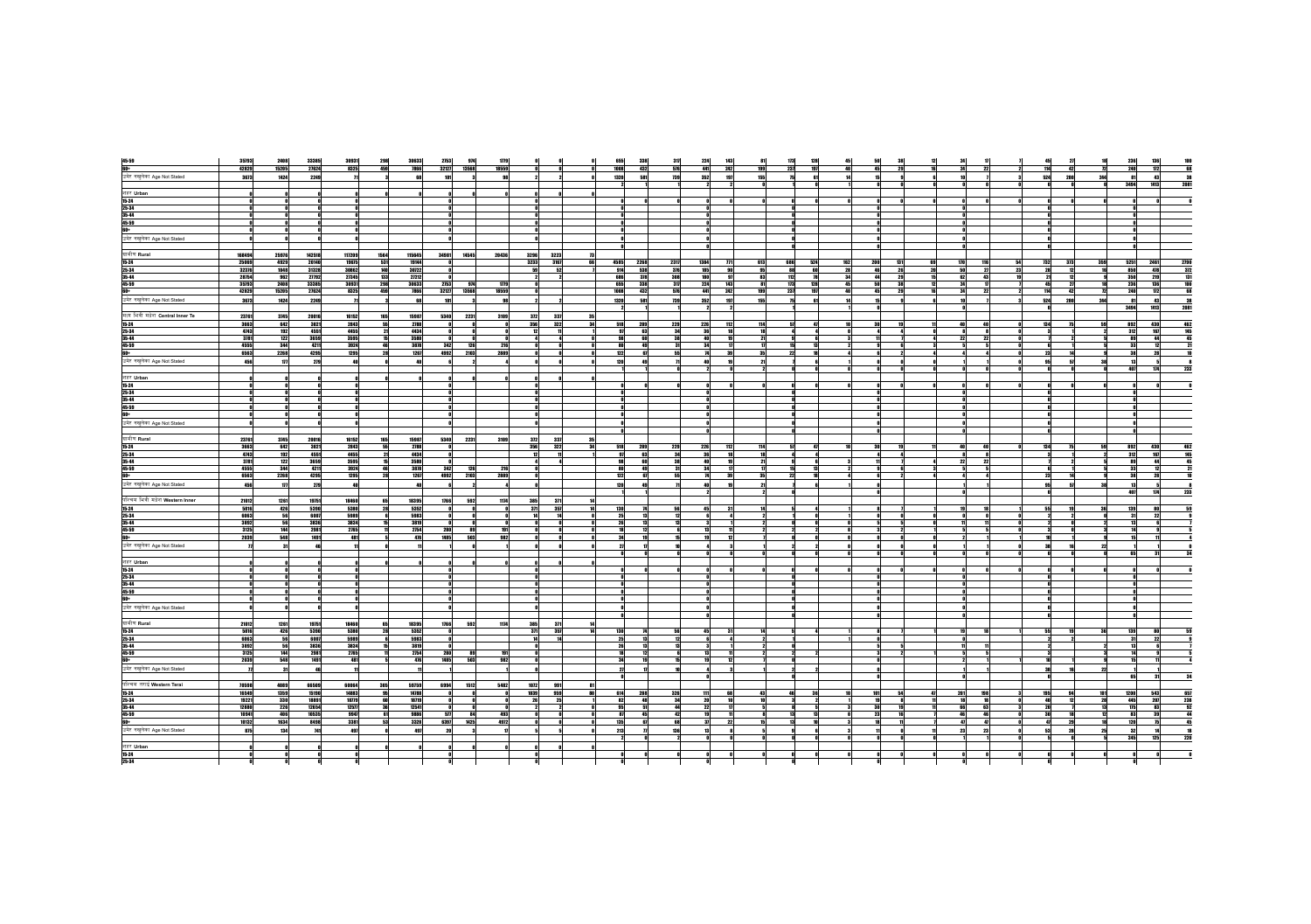| <b>45 59</b><br>88+<br>उमेर नसुलेका Age Not Stated                   | 35793          | 2488                                                               | 33385          | 38631               | 298                     | 38633             | 2753               | 934                     | m         |              |                           |            |                         |                                                  | 30                       | 224                 | 143                        |        |     |        |      |     |                          |              |                           |                         |               |                             |                          |                |                                                                                  |
|----------------------------------------------------------------------|----------------|--------------------------------------------------------------------|----------------|---------------------|-------------------------|-------------------|--------------------|-------------------------|-----------|--------------|---------------------------|------------|-------------------------|--------------------------------------------------|--------------------------|---------------------|----------------------------|--------|-----|--------|------|-----|--------------------------|--------------|---------------------------|-------------------------|---------------|-----------------------------|--------------------------|----------------|----------------------------------------------------------------------------------|
|                                                                      | 42829          | 15285                                                              | 27624          | 8325                | 459                     | 7866              |                    | 32127 13568             | 18558     |              |                           |            | 1008                    | 422                                              | 576                      | $-40$               | $\frac{242}{187}$          | - 89   | 237 | 150    |      |     |                          |              |                           | $\overline{\mathbf{u}}$ | ē,            | $\overline{n}$              | 244                      | $\mathbf{m}$   |                                                                                  |
|                                                                      | 3673           | 1424                                                               | 2249           |                     |                         | 68                | m.                 |                         | $\bullet$ |              |                           |            | 1320                    | 581                                              | 739                      | 352                 |                            | 155    |     |        |      |     |                          |              |                           | 534                     | 280           | 344                         |                          |                |                                                                                  |
| ent Urban<br>15:34<br>15:34<br>10:4<br>प्रमेर नसूलेका Age Not Stated |                |                                                                    |                |                     |                         |                   |                    |                         |           |              |                           |            |                         |                                                  |                          |                     |                            |        |     |        |      |     |                          |              |                           |                         |               |                             | 3494                     | <b>HB</b>      |                                                                                  |
|                                                                      |                |                                                                    |                |                     |                         |                   |                    |                         |           |              |                           |            |                         |                                                  |                          |                     |                            |        |     |        |      |     |                          |              |                           |                         |               |                             |                          |                |                                                                                  |
|                                                                      |                |                                                                    |                |                     |                         |                   |                    |                         |           |              |                           |            |                         |                                                  |                          |                     |                            |        |     |        |      |     |                          |              |                           |                         |               |                             |                          |                |                                                                                  |
|                                                                      |                |                                                                    |                |                     |                         |                   |                    |                         |           |              |                           |            |                         |                                                  |                          |                     |                            |        |     |        |      |     |                          |              |                           |                         |               |                             |                          |                |                                                                                  |
|                                                                      |                |                                                                    |                |                     |                         |                   |                    |                         |           |              |                           |            |                         |                                                  |                          |                     |                            |        |     |        |      |     |                          |              |                           |                         |               |                             |                          |                |                                                                                  |
|                                                                      |                |                                                                    |                |                     |                         |                   |                    |                         |           |              |                           |            |                         |                                                  |                          |                     |                            |        |     |        |      |     |                          |              |                           |                         |               |                             |                          |                |                                                                                  |
|                                                                      |                |                                                                    |                |                     |                         |                   |                    |                         |           |              |                           |            |                         |                                                  |                          |                     |                            |        |     |        |      |     |                          |              |                           |                         |               |                             |                          |                |                                                                                  |
|                                                                      |                |                                                                    |                |                     |                         |                   |                    |                         |           |              |                           |            |                         |                                                  |                          |                     |                            |        |     |        |      |     |                          |              |                           |                         |               |                             |                          |                |                                                                                  |
| trim Rural<br>15-24                                                  | 168494         | 25976                                                              | 142518         | 117289              | 1564                    | 115645            |                    | 34981 14545             | 20426     | 3299         | 3223                      | <b>zal</b> |                         |                                                  |                          | 1384                |                            |        | cos | 524    | 1979 | 288 | 121                      | $\mathbf{a}$ | 170                       | 732                     | 373           | 35.9                        |                          |                |                                                                                  |
| 25-34                                                                | 25069<br>32276 | 4929<br>1048                                                       | 28508<br>31328 | 19675<br>38892      | 531<br>10               | 1914<br>38722     |                    |                         |           | - 3233<br>50 | 3157<br>$\mathbf{S}$      |            | 66<br>954               | 4585 2268                                        | 2317<br>376              | <b>is</b>           | m<br>ä                     | 5<br>ß | 88  |        |      |     |                          |              |                           | 28                      |               | ż                           | 5251<br>850              | 2461<br>28     | $\begin{array}{r} \hline 2790 \\ \hline 372 \\ \hline 131 \\ \hline \end{array}$ |
|                                                                      | 28754          | 962                                                                | 27792          | 27345               | $\overline{\mathbf{u}}$ | 200               |                    |                         |           |              |                           |            | 686                     | $\begin{array}{r} 531 \\ 331 \\ 331 \end{array}$ | 388                      | 180                 | n                          |        | 112 |        |      |     |                          |              |                           | 21                      |               |                             | 350                      | 219            |                                                                                  |
| 35 44<br>45 59                                                       | 35793          | $\frac{1}{248}$                                                    | 33385          | 38931               | 298                     | 38633             | 2753               | 93                      | m         |              |                           |            | 655                     |                                                  | $30^{\circ}$             | 224                 | 142                        |        | m   | 128    | 45   |     | 28                       |              | 24                        | 45                      | 22            | $n =$                       | 236                      | 136            |                                                                                  |
| 88+<br>उमेर नसूलेका Age Not Stated                                   | 42829          | 15285                                                              | 27624          | 8325                | 459                     | 7861              |                    | 22120 13568             | 18555     |              |                           |            |                         | 1008 432                                         | 576                      | - 411               | 242                        | 199    | 237 | $-150$ |      | B   | $\overline{\phantom{a}}$ |              |                           | 114                     | $\frac{1}{2}$ | $\overline{\boldsymbol{n}}$ | 248                      | $\overline{m}$ |                                                                                  |
|                                                                      | 3673           | 1424                                                               | 2249           | $\mathbf{z}$        |                         | 68                | - and              |                         | sel       |              |                           |            | 1920                    | 581                                              | 728                      | 352                 | 187                        | 65     |     |        |      |     |                          |              |                           | 534                     | 280           | 244                         | $\mathbf{a}$             |                |                                                                                  |
|                                                                      |                |                                                                    |                |                     |                         |                   |                    |                         |           |              |                           |            |                         |                                                  |                          |                     |                            |        |     |        |      |     |                          |              |                           |                         |               |                             | 3494                     | 1413           |                                                                                  |
| मात्र भिनी मंत्रेग Central Inner Te                                  | 23761          | 3345                                                               | 20016          | 15152               | 195                     | 15987             | 5340               | 2231                    | 3105      | 372          | 337                       | 35         |                         |                                                  |                          |                     |                            |        |     |        |      |     |                          |              |                           |                         |               |                             |                          |                |                                                                                  |
|                                                                      | 3663<br>4341   | 642                                                                | 3821           | 2843<br>4455        | SS <sub>1</sub>         | 2788              |                    |                         |           | 356          | 322                       | 34         | <b>Stal</b>             | 289                                              | 229                      | 226<br>- 26         | 112<br>18                  |        |     |        |      |     |                          |              |                           |                         |               |                             | 892                      | 431<br>40      |                                                                                  |
| 1521<br>2531<br>1542<br>1845                                         | 3781           | 192<br>$\overline{\mathbf{u}}$                                     | 4551<br>3559   | 3595                |                         | 4434<br>3580      |                    |                         |           |              |                           |            | 97<br>98                | 63<br>68                                         | 34<br>38                 |                     | $\overline{10}$            |        |     |        |      |     |                          |              |                           |                         |               |                             | 312                      |                |                                                                                  |
|                                                                      | 4555           | 344                                                                | 4211           | 3924                | à                       | 3838              | 30                 | 126                     | 216       |              |                           |            | <b>a</b>                | $\overline{49}$                                  | $\overline{\mathbf{r}}$  |                     | $\overline{\mathbf{n}}$    |        |     |        |      |     |                          |              |                           |                         |               |                             | ś                        |                |                                                                                  |
|                                                                      | 6561           | 2268                                                               | 4295           | 1295                |                         | 1267              | 4992               | 200                     | 2889      |              |                           |            | $\overline{\mathbf{w}}$ |                                                  |                          |                     | $\overline{10}$            |        |     |        |      |     |                          |              |                           |                         |               |                             |                          |                |                                                                                  |
| उमेर नसूलेका Age Not Stated                                          | 456            | $\boldsymbol{m}$                                                   | 279            | $\overline{a}$      |                         | . and             |                    |                         |           |              |                           |            | m                       | $\overline{a}$                                   |                          |                     |                            |        |     |        |      |     |                          |              |                           | or.                     |               |                             |                          |                |                                                                                  |
|                                                                      |                |                                                                    |                |                     |                         |                   |                    |                         |           |              |                           |            |                         |                                                  |                          |                     |                            |        |     |        |      |     |                          |              |                           |                         |               |                             | <b>AIR</b>               |                |                                                                                  |
| mre Urban<br>15-24                                                   |                |                                                                    |                |                     |                         |                   |                    |                         |           |              |                           |            |                         |                                                  |                          |                     |                            |        |     |        |      |     |                          |              |                           |                         |               |                             |                          |                |                                                                                  |
|                                                                      |                |                                                                    |                |                     |                         |                   |                    |                         |           |              |                           |            |                         |                                                  |                          |                     |                            |        |     |        |      |     |                          |              |                           |                         |               |                             |                          |                |                                                                                  |
|                                                                      |                |                                                                    |                |                     |                         |                   |                    |                         |           |              |                           |            |                         |                                                  |                          |                     |                            |        |     |        |      |     |                          |              |                           |                         |               |                             |                          |                |                                                                                  |
|                                                                      |                |                                                                    |                |                     |                         |                   |                    |                         |           |              |                           |            |                         |                                                  |                          |                     |                            |        |     |        |      |     |                          |              |                           |                         |               |                             |                          |                |                                                                                  |
|                                                                      |                | ┱                                                                  |                |                     |                         |                   |                    |                         |           |              |                           |            |                         |                                                  |                          |                     |                            |        |     |        |      |     |                          |              |                           |                         |               |                             |                          |                |                                                                                  |
| सम्म<br>15544<br>1650<br>स्रो+ स्वतंत्रा Age Not Stated              |                |                                                                    |                |                     |                         |                   |                    |                         |           |              |                           |            |                         |                                                  |                          |                     |                            |        |     |        |      |     |                          |              |                           |                         |               |                             |                          |                |                                                                                  |
|                                                                      |                |                                                                    |                |                     |                         |                   |                    |                         |           |              |                           |            |                         |                                                  |                          |                     |                            |        |     |        |      |     |                          |              |                           |                         |               |                             |                          |                |                                                                                  |
| प्रमीण Roral<br>15-24<br>25-34<br>25-44                              | 23761          | 3345                                                               | 20016          | 16152               | 165                     | 15987             | 5340               | 2231                    | 3105      | 372          | 337                       |            |                         |                                                  |                          |                     |                            |        |     |        |      |     |                          |              |                           |                         |               |                             |                          |                |                                                                                  |
|                                                                      | 3663           | 642                                                                | 3821<br>4556   | $\frac{2843}{6455}$ | SS                      | 2788              |                    |                         |           | 356          | $\overline{\mathbf{322}}$ | 34         | $\frac{518}{97}$        | $\begin{array}{r} 289 \\ 63 \end{array}$         | 229                      |                     | 112                        |        |     |        |      |     |                          |              |                           |                         |               |                             | 892                      | $rac{438}{80}$ |                                                                                  |
|                                                                      | 3781           | 192<br>$\boldsymbol{m}$                                            | 3659           | 3595                | $\mathbf{B}$            | 4434<br>3580      |                    |                         |           |              |                           |            | <b>SE</b>               | 68                                               | अ<br>38                  | - 40                | 15 <sup>1</sup>            |        |     |        |      |     |                          |              | $\boldsymbol{\mathit{n}}$ |                         |               | - 51                        | 32<br>89                 | 44             |                                                                                  |
| 45.59                                                                | 4555           |                                                                    | 4211           | 3924                | 46                      |                   | $342$              |                         | 216       |              |                           |            | 88                      | 48                                               | -21                      | 14                  | $\mathbf{n}$               |        |     |        |      |     |                          |              |                           |                         |               |                             |                          |                |                                                                                  |
|                                                                      | 6561           |                                                                    | 4295           | 1295                | $\overline{\mathbf{a}}$ | $\frac{383}{126}$ | 4992               | $\frac{176}{2463}$      | 2889      |              |                           |            | $\overline{w}$          | $\overline{a}$                                   | SS.                      |                     | 39                         |        |     |        |      |     |                          |              |                           | $\overline{\mathbf{v}}$ |               |                             |                          |                |                                                                                  |
| 88+<br>उमेर नसूलेका Age Not Stated                                   | 456            | $\begin{array}{r} \hline 344 \\ \hline 2268 \\ \hline \end{array}$ | 279            | $\overline{a}$      |                         | $\bullet$         |                    |                         |           |              |                           |            | m                       | $\overline{a}$                                   |                          |                     |                            |        |     |        |      |     |                          |              |                           |                         |               |                             |                          |                |                                                                                  |
|                                                                      |                |                                                                    |                |                     |                         |                   |                    |                         |           |              |                           |            |                         |                                                  |                          |                     |                            |        |     |        |      |     |                          |              |                           |                         |               |                             | $\overline{\phantom{a}}$ |                |                                                                                  |
| परिचय मित्री मंत्रेण Western Inner                                   | 21812          | 1261                                                               | 19751          | 18460               |                         | 18355             | 1766               | 592                     | 194       | 385          | 371                       |            |                         |                                                  |                          |                     |                            |        |     |        |      |     |                          |              |                           |                         |               |                             |                          |                |                                                                                  |
| 15-24                                                                | 5899           | 426<br>56                                                          | 5350           | 5380<br>5989        | $\overline{\mathbf{a}}$ | 5352<br>5983      |                    |                         |           | 301          | 35<br>Ė                   |            | 138                     | त्र<br>$\blacksquare$                            | $^{56}$                  |                     | 21                         |        |     |        |      |     |                          |              |                           | ss.                     |               | 38 <sup>1</sup>             | 125                      |                |                                                                                  |
| 25-34                                                                | 6861<br>3892   |                                                                    | 6007<br>3836   | 3834                |                         | 3819              |                    |                         |           |              |                           |            | 番                       |                                                  | ᇳ                        |                     |                            |        |     |        |      |     |                          |              |                           |                         |               |                             |                          |                |                                                                                  |
|                                                                      | 3125           | $\frac{56}{144}$                                                   | 2981           | 2765                |                         | 2754              | 280                | $\overline{\mathbf{3}}$ | Ħ         |              |                           |            |                         |                                                  |                          |                     |                            |        |     |        |      |     |                          |              |                           |                         |               |                             |                          |                |                                                                                  |
|                                                                      | 2039           | 548                                                                | 1495           | 481                 |                         | 426               | 1485               | 583                     | 982       |              |                           |            |                         |                                                  |                          |                     |                            |        |     |        |      |     |                          |              |                           |                         |               |                             |                          |                |                                                                                  |
| 2004<br>5541<br>6509<br>stir veginar Agu Not Studed                  |                | 31                                                                 | 48             |                     |                         |                   |                    |                         |           |              |                           |            |                         |                                                  |                          |                     |                            |        |     |        |      |     |                          |              |                           | $\mathbf{a}$            |               | $\boldsymbol{\eta}$         |                          |                |                                                                                  |
|                                                                      |                |                                                                    |                |                     |                         |                   |                    |                         |           |              |                           |            |                         |                                                  |                          |                     |                            |        |     |        |      |     |                          |              |                           |                         |               |                             | 65                       |                |                                                                                  |
| mer Urban<br>15-24<br>25-34                                          |                |                                                                    |                |                     |                         |                   |                    |                         |           |              |                           |            |                         |                                                  |                          |                     |                            |        |     |        |      |     |                          |              |                           |                         |               |                             |                          |                |                                                                                  |
|                                                                      |                |                                                                    |                |                     |                         |                   |                    |                         |           |              |                           |            |                         |                                                  |                          |                     |                            |        |     |        |      |     |                          |              |                           |                         |               |                             |                          |                |                                                                                  |
|                                                                      |                |                                                                    |                |                     |                         |                   |                    |                         |           |              |                           |            |                         |                                                  |                          |                     |                            |        |     |        |      |     |                          |              |                           |                         |               |                             |                          |                |                                                                                  |
| 35.44<br>45.59                                                       |                | - ol                                                               |                |                     |                         |                   |                    |                         |           |              |                           |            |                         |                                                  |                          |                     |                            |        |     |        |      |     |                          |              |                           |                         |               |                             |                          |                |                                                                                  |
|                                                                      |                | - al                                                               |                |                     |                         |                   |                    |                         |           |              |                           |            |                         |                                                  |                          |                     |                            |        |     |        |      |     |                          |              |                           |                         |               |                             |                          |                |                                                                                  |
| <b>68+</b><br>उमेर नसुलेका Age Not Stated                            |                |                                                                    |                |                     |                         |                   |                    |                         |           |              |                           |            |                         |                                                  |                          |                     |                            |        |     |        |      |     |                          |              |                           |                         |               |                             |                          |                |                                                                                  |
|                                                                      |                |                                                                    |                |                     |                         |                   |                    |                         |           |              |                           |            |                         |                                                  |                          |                     |                            |        |     |        |      |     |                          |              |                           |                         |               |                             |                          |                |                                                                                  |
| ग्रामीण Rural<br><b>15-24</b>                                        | 21812          | 1261                                                               | 19751          | 19460               | 65                      | 18355             | 1766               | 592                     | 1174      | 385          | 371                       |            |                         |                                                  |                          |                     |                            |        |     |        |      |     |                          |              |                           |                         |               |                             |                          |                |                                                                                  |
|                                                                      | 5816           | 426                                                                | 5390           | 5380                | 28                      | 5352<br>5983      |                    |                         |           | 371          | 35                        |            | 120<br>番                | $\overline{14}$                                  | <b>SEL</b>               |                     | 21                         |        |     |        |      |     |                          |              |                           | 55                      |               | 38                          | 139                      |                |                                                                                  |
| 25-34<br>15-M                                                        | 6863<br>3892   | 56<br>56                                                           | 6987<br>3836   | 5589<br>3834        |                         | 3819              |                    |                         |           |              |                           |            | 36                      |                                                  |                          |                     |                            |        |     |        |      |     |                          |              |                           |                         |               |                             |                          |                |                                                                                  |
|                                                                      | 3125           | 144                                                                | 2981           | 2765                |                         | 2754              |                    | 89                      | 191       |              |                           |            |                         |                                                  |                          |                     |                            |        |     |        |      |     |                          |              |                           |                         |               |                             |                          |                |                                                                                  |
| 65)<br>H-                                                            | 2039           | 548                                                                | 1491           | 481                 |                         | $\overline{26}$   | $\frac{200}{1455}$ | 583                     | 982       |              |                           |            |                         |                                                  |                          |                     |                            |        |     |        |      |     |                          |              |                           |                         |               |                             |                          |                |                                                                                  |
| 3Hr Heritat Age Not Stated                                           |                | 31                                                                 | 48             |                     |                         |                   |                    |                         |           |              |                           |            |                         |                                                  |                          |                     |                            |        |     |        |      |     |                          |              |                           |                         |               |                             |                          |                |                                                                                  |
|                                                                      |                |                                                                    |                |                     |                         |                   |                    |                         |           |              |                           |            |                         |                                                  |                          |                     |                            |        |     |        |      |     |                          |              |                           |                         |               |                             | 65                       |                |                                                                                  |
| परिचय तराई Western Terai                                             | 70598          | 4089                                                               | 66589          | 60064               | 385                     | 59759             | 6594               | 1512                    | 5482      | 1072         | 991                       |            |                         |                                                  |                          |                     |                            |        |     |        |      |     |                          |              |                           |                         |               |                             |                          |                |                                                                                  |
| 15-24<br>25-34                                                       | 16549          | 1359                                                               | 15190          | 14883               | \$5                     | 14788<br>1070     | - 6                |                         | - 61      | 1839         | $\frac{93}{25}$           | अ          |                         | 614 288                                          | 326<br>$\overline{34}$   |                     | 68                         |        |     |        |      |     |                          |              | 201                       | 195                     |               |                             | 1200<br>445              | 543            |                                                                                  |
| 35-86                                                                | 19221<br>12880 | $\frac{330}{276}$                                                  | 18891<br>12654 | 18779<br>1250       | 68<br>36                | 12541             |                    |                         |           |              |                           |            | 82                      | 릨                                                | $\overline{\phantom{a}}$ | $\boldsymbol{\eta}$ | $\mathbf{n}$               |        |     |        |      |     |                          |              |                           | $^{46}$                 |               | $\mathbf{u}$                | $\overline{m}$           | 287            |                                                                                  |
| 45.59                                                                | 10941          | 486                                                                | 10535          | 9947                | 61                      | 9885              | m                  |                         | 453       |              |                           |            | <b>COL</b>              | $\overline{45}$                                  | $\overline{a}$           |                     | $\overline{\phantom{a}}$   |        |     |        |      |     |                          |              |                           | 30                      |               | $\overline{v}$              | $\overline{\mathbf{a}}$  |                |                                                                                  |
|                                                                      | 10532          | 1634                                                               | 8458           | 3381                | 51                      | 3328              |                    | 6393 1425               | 4972      |              |                           |            | 125                     | - 67                                             | $\frac{1}{2}$            |                     | $\boldsymbol{\mathit{22}}$ |        |     | -90    |      |     |                          |              | ¢<br>$\overline{ }$       | $\blacksquare$          |               | $\overline{\mathbf{B}}$     | 120                      |                |                                                                                  |
| 88+<br>उमेर नसुलेका Age Not Stated                                   | 825            | 134                                                                | 749            | 497                 |                         | 497               | $^{20}$            |                         |           |              |                           |            | 218                     | $\boldsymbol{n}$                                 | 136                      |                     |                            |        |     |        |      |     |                          |              |                           | sal                     |               | 25                          | 32 <sub>0</sub>          |                |                                                                                  |
|                                                                      |                |                                                                    |                |                     |                         |                   |                    |                         |           |              |                           |            |                         |                                                  |                          |                     |                            |        |     |        |      |     |                          |              |                           |                         |               |                             | 345                      | 125            |                                                                                  |
| <b>RIPE Urban</b>                                                    |                |                                                                    |                |                     |                         |                   |                    |                         |           |              |                           |            |                         |                                                  |                          |                     |                            |        |     |        |      |     |                          |              |                           |                         |               |                             |                          |                |                                                                                  |
| $\frac{15-24}{25-34}$                                                |                |                                                                    |                |                     |                         |                   |                    |                         |           |              |                           |            |                         |                                                  |                          |                     |                            |        |     |        |      |     |                          |              |                           |                         |               |                             |                          |                |                                                                                  |
|                                                                      |                | $\bullet$                                                          |                |                     |                         |                   |                    |                         |           |              |                           |            |                         |                                                  |                          |                     |                            |        |     |        |      |     |                          |              |                           |                         |               |                             |                          |                |                                                                                  |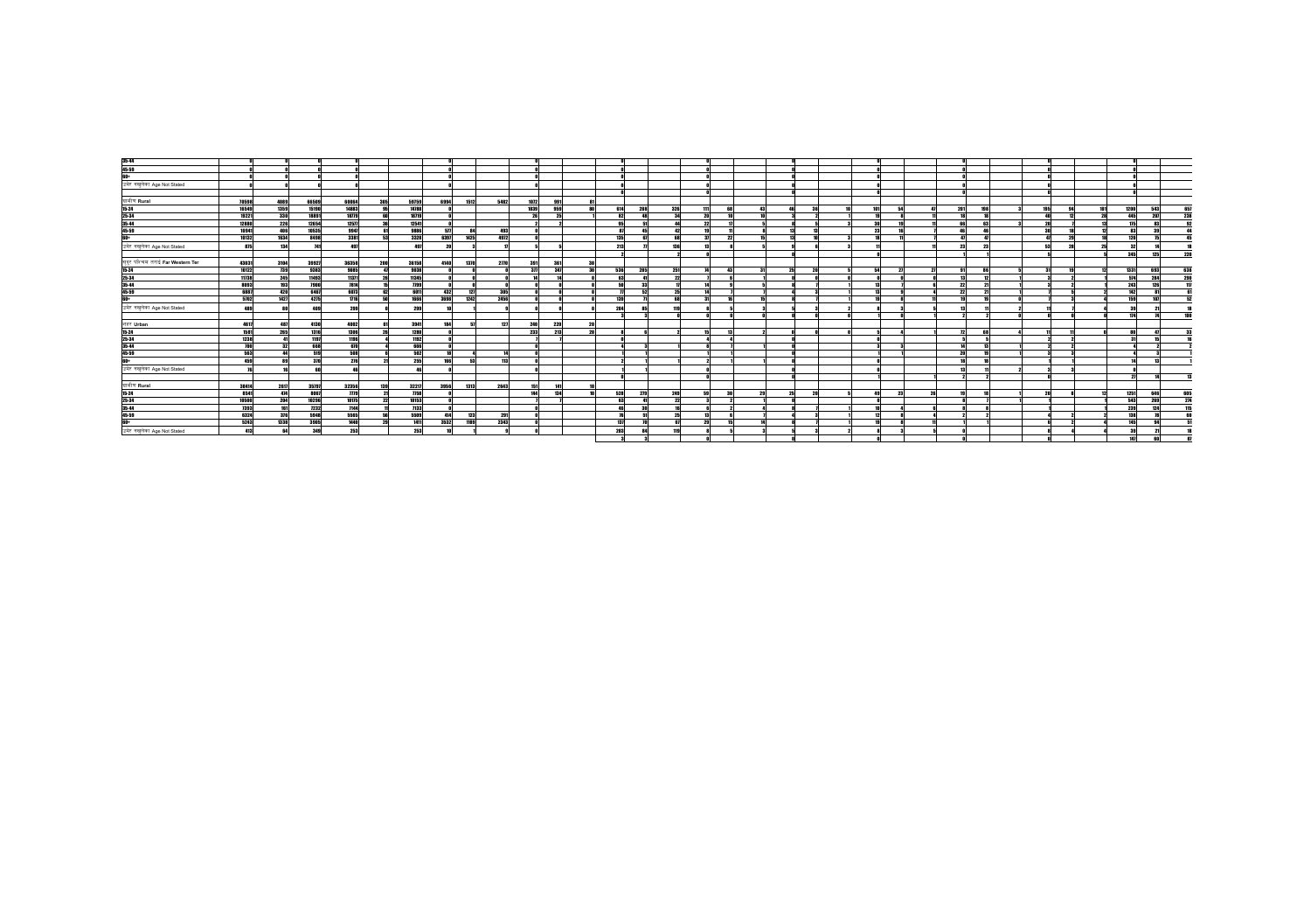| $\frac{3541}{4559}$             |       |                         |       |       |                |              |          |      |      |          |                         |                |                   |          |     |                 |                      |                     |  |                |     |      |                |  |     |                         |                |        |
|---------------------------------|-------|-------------------------|-------|-------|----------------|--------------|----------|------|------|----------|-------------------------|----------------|-------------------|----------|-----|-----------------|----------------------|---------------------|--|----------------|-----|------|----------------|--|-----|-------------------------|----------------|--------|
| 68+                             |       |                         |       |       |                |              |          |      |      |          |                         |                |                   |          |     |                 |                      |                     |  |                |     |      |                |  |     |                         |                |        |
| उमेर नसलेका Ape Not Stated      |       |                         |       |       |                |              |          |      |      |          |                         |                |                   |          |     |                 |                      |                     |  |                |     |      |                |  |     |                         |                |        |
|                                 |       |                         |       |       |                |              |          |      |      |          |                         |                |                   |          |     |                 |                      |                     |  |                |     |      |                |  |     |                         |                |        |
| <b>SERVICE Rural</b>            | 70598 | 4881                    | 66589 | 60064 | 38             | 59759        | 5994     | 1512 | 5482 | 3022     |                         |                |                   |          |     |                 |                      |                     |  |                |     |      |                |  |     |                         |                |        |
|                                 | 16549 | 1354                    | 15190 | 14883 | <b>AS</b>      | 14288        |          |      |      | 1839     | 458                     |                | 614<br>288        |          | 326 |                 | <b>COL</b>           | $\overline{12}$     |  |                | - 6 | 2.01 | 198            |  | 101 | 1208                    | 543            |        |
|                                 | 19221 | 338                     | 18891 | 18770 | $\mathbf{a}$   | 18799        |          |      |      |          | $\rightarrow$           |                | $-9o$             | Ħ        |     | $\overline{20}$ |                      |                     |  |                |     |      |                |  |     | 445                     | 107            | 22     |
| 15-31<br>25-31<br>35-41         | 12880 | 226                     | 12654 | 12577 |                | 12541        |          |      |      |          |                         |                |                   |          |     |                 |                      |                     |  |                |     |      |                |  |     | $\mathbf{r}$            |                |        |
| 63)<br>H                        | 10941 | 489                     | 10535 | 9947  | 61             | 6886         | $\alpha$ |      | 453  |          |                         |                | 40                | 45       | 49  |                 |                      |                     |  | $\overline{1}$ |     |      | -              |  |     |                         |                |        |
|                                 | 10132 | 1634                    | 3,458 | 3381  | <b>Sal</b>     | 3328         | 6397     | 1425 | 4922 |          |                         |                | 135               | $\omega$ | 68  |                 | $\ddot{\phantom{1}}$ |                     |  |                |     |      | Ð              |  |     | 130                     |                |        |
| उमेर नसूलेका Age Not Stated     | 825   | $\mathbf{r}$            |       |       |                |              |          |      |      |          |                         |                | 25                |          | m   |                 |                      |                     |  |                |     |      |                |  |     |                         |                |        |
|                                 |       |                         |       |       |                |              |          |      |      |          |                         |                |                   |          |     |                 |                      |                     |  |                |     |      |                |  |     | 345                     | $\overline{m}$ |        |
| सदर परिचय तराई Far Western Ter- | 43831 | 3594                    | 39927 | 36358 |                | 36158        |          | 1378 | 2770 |          | $\overline{\mathbf{z}}$ |                |                   |          |     |                 |                      |                     |  |                |     |      |                |  |     |                         |                |        |
| 15-24<br>25-34<br>25-44         | 10122 | 724                     | 9383  | 9885  |                | 9,038        |          |      |      | m        | 36                      |                | 536<br>285        |          | 251 |                 | <b>A1</b>            | -95                 |  |                |     |      |                |  |     | 1331                    | 65             |        |
|                                 | 11738 | 245                     | 11493 | 11371 | 16             | 1945         |          |      |      |          |                         |                |                   |          |     |                 |                      |                     |  |                |     |      |                |  |     | $\mathbf{a}$            | $^{\circ}$     | $\sim$ |
|                                 | 8893  | 193                     | 7800  | 7814  |                | 7209         |          |      |      |          |                         |                | <br>$\rightarrow$ |          |     |                 |                      |                     |  |                |     |      | $\overline{a}$ |  |     | 243                     |                |        |
|                                 | 6887  | 420                     | 6467  | 6073  |                | <b>BRITT</b> | 437      | 127  | 385  |          |                         |                | <b>SS</b>         |          | ٩E  |                 |                      |                     |  |                |     | -99  |                |  |     | $\overline{\mathbf{u}}$ |                |        |
| 63)<br>H+                       | 5702  | 1827                    | 4275  | 716   |                | 1666         | 36/08    | 1242 | 2456 |          |                         |                | <b>THE</b>        |          |     |                 |                      |                     |  |                |     |      |                |  |     | <b>KG</b>               |                |        |
| उमेर नसूलेका Age Not Stated     | 489   |                         | 409   | 200   |                |              |          |      |      |          |                         |                | $\sim$            |          |     |                 |                      |                     |  |                |     |      |                |  |     |                         |                |        |
|                                 |       |                         |       |       |                |              |          |      |      |          |                         |                |                   |          |     |                 |                      |                     |  |                |     |      |                |  |     | $\overline{121}$        |                |        |
| <b>RICY Urban</b>               | 4617  | 48                      | 4130  | 4802  |                | 3941         |          |      | 121  | 318      | 220                     |                |                   |          |     |                 |                      |                     |  |                |     |      |                |  |     |                         |                |        |
| 15-24                           | 1581  | 265                     | 1316  | 12.06 | 16             | 1780         |          |      |      | 223      | 713                     | $\overline{ }$ |                   |          |     |                 | <b>H</b>             |                     |  |                |     |      | $^{\circ}$     |  |     |                         |                |        |
|                                 | 1738  |                         | 1197  | 1996  |                | 182          |          |      |      |          |                         |                |                   |          |     |                 |                      |                     |  |                |     |      |                |  |     |                         |                |        |
|                                 | 700   | <b>A</b>                | 668   | 60    |                | 656          |          |      |      |          |                         |                |                   |          |     |                 |                      |                     |  |                |     |      |                |  |     |                         |                |        |
| - 2531<br>3541<br>4550          | 583   | 44                      | 598   | 508   |                | <b>Sap</b>   |          |      |      |          |                         |                |                   |          |     |                 |                      |                     |  |                |     |      |                |  |     |                         |                |        |
|                                 | 459   | $^{\circ}$              | 370   | 276   | 21             | 255          | œ        | s    | ţ    |          |                         |                |                   |          |     |                 |                      |                     |  |                |     |      |                |  |     |                         |                |        |
| उमेर नसलेका Ape Not Stated      |       |                         |       |       |                |              |          |      |      |          |                         |                |                   |          |     |                 |                      |                     |  |                |     |      |                |  |     |                         |                |        |
|                                 |       |                         |       |       |                |              |          |      |      |          |                         |                |                   |          |     |                 |                      |                     |  |                |     |      |                |  |     |                         |                |        |
| trim Rural                      | 38414 | 261                     | 35797 | 32356 |                | 32217        | 3956     | 1313 | 2643 |          |                         |                |                   |          |     |                 |                      |                     |  |                |     |      |                |  |     |                         |                |        |
| 15-24<br>25-34<br>35-44         | 8541  | $\overline{\mathbf{a}}$ | 8067  | m     |                | 7258         |          |      |      | $\cdots$ | 138                     |                | 539<br>229        |          | 389 |                 |                      | $\boldsymbol{\eta}$ |  |                | ٠   |      |                |  |     | 1251                    | 646            |        |
|                                 | 10500 | 204                     | 10256 | 1095  |                | 10153        |          |      |      |          |                         |                |                   |          |     |                 |                      |                     |  |                |     |      |                |  |     | 543                     |                |        |
|                                 | 7393  | ś                       | 7929  | 7551  |                | $752$        |          |      |      |          |                         |                | 28                |          |     |                 |                      |                     |  |                |     |      |                |  |     | 229                     | 111            |        |
| 63)<br>H                        | 6324  | 326                     | 5948  | 5565  |                | 55.09        |          | m    | 281  |          |                         |                |                   |          |     |                 |                      |                     |  |                |     |      |                |  |     | 120                     |                |        |
|                                 | 5243  | 1338                    | 3905  | 1440  | $\overline{1}$ | sant         | 3537     | 1939 | 2242 |          |                         |                | 122               |          |     |                 |                      |                     |  |                |     |      |                |  |     | 161                     |                |        |
| उमेर नसुलेका Age Not Stated     | 413   | $\bullet$               | 30    | 253   |                | 2531         |          |      |      |          |                         |                | 283               |          |     |                 |                      |                     |  |                |     |      |                |  |     |                         |                |        |
|                                 |       |                         |       |       |                |              |          |      |      |          |                         |                |                   |          |     |                 |                      |                     |  |                |     |      |                |  |     | 48                      |                |        |